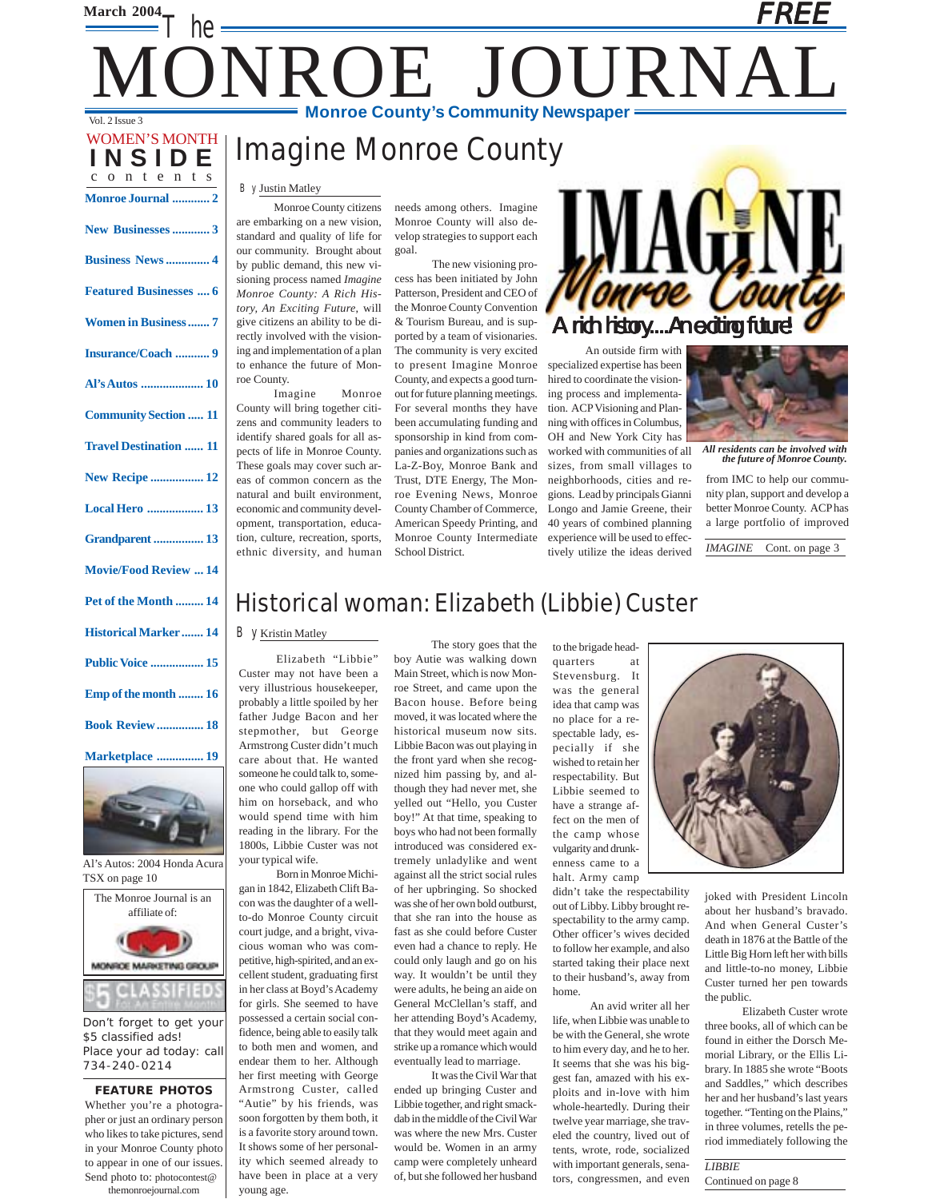### **March 2004** The Vol. 2 Issue 3 FREE ONROE JOURNA **Monroe County's Community Newspaper**

### Imagine Monroe County

#### By Justin Matley

**INSIDE** on tents **Monroe Journal ............ 2**

WOMEN'S MONTH

**New Businesses............ 3 Business News .............. 4**

**Featured Businesses .... 6**

**Women in Business ....... 7**

**Insurance/Coach ........... 9 Al's Autos .................... 10**

**Community Section ..... 11**

**Travel Destination ...... 11**

**New Recipe ................. 12 Local Hero .................. 13**

**Grandparent ................ 13**

**Movie/Food Review ... 14**

**Pet of the Month ......... 14 Historical Marker ....... 14**

**Public Voice ................. 15**

**Emp of the month ........ 16**

**Book Review ............... 18**

**Marketplace ............... 19**

Monroe County citizens are embarking on a new vision, standard and quality of life for our community. Brought about by public demand, this new visioning process named *Imagine Monroe County: A Rich History, An Exciting Future*, will give citizens an ability to be directly involved with the visioning and implementation of a plan to enhance the future of Monroe County.

Imagine Monroe County will bring together citizens and community leaders to identify shared goals for all aspects of life in Monroe County. These goals may cover such areas of common concern as the natural and built environment, economic and community development, transportation, education, culture, recreation, sports, ethnic diversity, and human

needs among others. Imagine Monroe County will also develop strategies to support each goal.

The new visioning process has been initiated by John Patterson, President and CEO of the Monroe County Convention & Tourism Bureau, and is supported by a team of visionaries. The community is very excited to present Imagine Monroe County, and expects a good turnout for future planning meetings. For several months they have been accumulating funding and sponsorship in kind from companies and organizations such as La-Z-Boy, Monroe Bank and Trust, DTE Energy, The Monroe Evening News, Monroe County Chamber of Commerce, American Speedy Printing, and Monroe County Intermediate School District.

A rich history....An exciting future!

An outside firm with specialized expertise has been hired to coordinate the visioning process and implementation. ACP Visioning and Planning with offices in Columbus, OH and New York City has worked with communities of all sizes, from small villages to neighborhoods, cities and regions. Lead by principals Gianni Longo and Jamie Greene, their 40 years of combined planning experience will be used to effectively utilize the ideas derived



*All residents can be involved with the future of Monroe County.*

from IMC to help our community plan, support and develop a better Monroe County. ACP has a large portfolio of improved

*IMAGINE* Cont. on page 3

### Historical woman: Elizabeth (Libbie) Custer

#### By Kristin Matley

Elizabeth "Libbie" Custer may not have been a very illustrious housekeeper, probably a little spoiled by her father Judge Bacon and her stepmother, but George Armstrong Custer didn't much care about that. He wanted someone he could talk to, someone who could gallop off with him on horseback, and who would spend time with him reading in the library. For the 1800s, Libbie Custer was not your typical wife.

cellent student, graduating first in her class at Boyd's Academy for girls. She seemed to have possessed a certain social confidence, being able to easily talk to both men and women, and endear them to her. Although her first meeting with George Armstrong Custer, called "Autie" by his friends, was soon forgotten by them both, it is a favorite story around town. It shows some of her personality which seemed already to have been in place at a very

young age.

The Monroe Journal is an affiliate of: Al's Autos: 2004 Honda Acura TSX on page 10 con was the daughter of a wellto-do Monroe County circuit court judge, and a bright, vivacious woman who was competitive, high-spirited, and an ex-



Don't forget to get your \$5 classified ads! Place your ad today: call 734-240-0214

#### **FEATURE PHOTOS** Whether you're a photographer or just an ordinary person who likes to take pictures, send in your Monroe County photo to appear in one of our issues.

Send photo to: photocontest@ themonroejournal.com

The story goes that the boy Autie was walking down Main Street, which is now Monroe Street, and came upon the Bacon house. Before being moved, it was located where the historical museum now sits. Libbie Bacon was out playing in the front yard when she recognized him passing by, and although they had never met, she yelled out "Hello, you Custer boy!" At that time, speaking to boys who had not been formally introduced was considered extremely unladylike and went against all the strict social rules of her upbringing. So shocked was she of her own bold outburst, that she ran into the house as fast as she could before Custer even had a chance to reply. He could only laugh and go on his way. It wouldn't be until they were adults, he being an aide on General McClellan's staff, and her attending Boyd's Academy, that they would meet again and strike up a romance which would eventually lead to marriage.

It was the Civil War that ended up bringing Custer and Libbie together, and right smackdab in the middle of the Civil War was where the new Mrs. Custer would be. Women in an army camp were completely unheard of, but she followed her husband to the brigade headquarters at

Stevensburg. It was the general idea that camp was no place for a respectable lady, especially if she wished to retain her respectability. But Libbie seemed to have a strange affect on the men of the camp whose vulgarity and drunkenness came to a halt. Army camp

didn't take the respectability out of Libby. Libby brought respectability to the army camp. Other officer's wives decided to follow her example, and also started taking their place next to their husband's, away from home.

An avid writer all her life, when Libbie was unable to be with the General, she wrote to him every day, and he to her. It seems that she was his biggest fan, amazed with his exploits and in-love with him whole-heartedly. During their twelve year marriage, she traveled the country, lived out of tents, wrote, rode, socialized with important generals, senators, congressmen, and even



joked with President Lincoln about her husband's bravado. And when General Custer's death in 1876 at the Battle of the Little Big Horn left her with bills and little-to-no money, Libbie Custer turned her pen towards the public.

Elizabeth Custer wrote three books, all of which can be found in either the Dorsch Memorial Library, or the Ellis Library. In 1885 she wrote "Boots and Saddles," which describes her and her husband's last years together. "Tenting on the Plains," in three volumes, retells the period immediately following the

*LIBBIE* Continued on page 8

Born in Monroe Michigan in 1842, Elizabeth Clift Ba-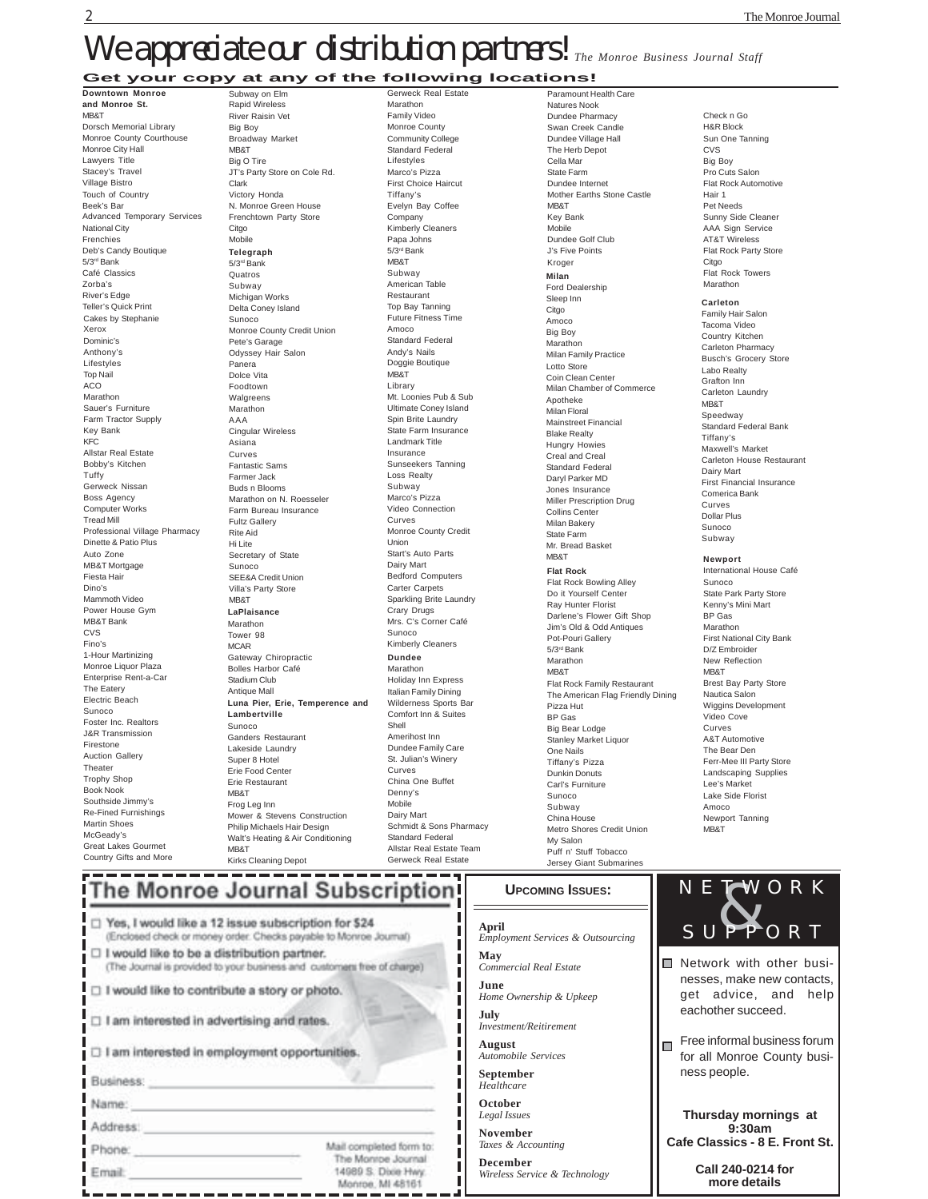### **Get your copy at any of the following locations!** We appreciate our distribution partners! The Monroe Business Journal Staff

#### **Downtown Monroe**

Cakes by Stephanie Xerox Dominic's Anthony's Lifestyles Top Nail ACO Marathon Sauer's Furniture Farm Tractor Supply Key Bank KFC Allstar Real Estate Bobby's Kitchen Tuffy Gerweck Nissan Boss Agency Computer Works Tread Mill Professional Village Pharmacy Dinette & Patio Plus Auto Zone MB&T Mortgage Fiesta Hair Dino's Mammoth Video Power House Gym MB&T Bank **CVS** Fino's 1-Hour Martinizing Monroe Liquor Plaza Enterprise Rent-a-Car The Eatery Electric Beach Sunoco Foster Inc. Realtors J&R Transmission Firestone Auction Gallery Theater Trophy Shop Book Nook Southside Jimmy's Re-Fined Furnishings Martin Shoes McGeady's Great Lakes Gourmet Country Gifts and More **and Monroe St.** MB&T Dorsch Memorial Library Monroe County Courthouse Monroe City Hall Lawyers Title Stacey's Travel Village Bistro Touch of Country Beek's Bar Advanced Temporary Services National City Frenchies Deb's Candy Boutique 5/3rd Bank Café Classics Zorba's River's Edge Teller's Quick Print

**Telegraph** 5/3rd Bank Quatros Subway Michigan Works Delta Coney Island Sunoco Monroe County Credit Union Pete's Garage Odyssey Hair Salon Panera Dolce Vita Foodtown Walgreens Marathon AAA Cingular Wireless Asiana Curves Fantastic Sams Farmer Jack Buds n Blooms Marathon on N. Roesseler Farm Bureau Insurance Fultz Gallery Rite Aid Hi Lite Secretary of State Sunoco SEE&A Credit Union Villa's Party Store MB&T **LaPlaisance** Marathon Tower 98 MCAR Gateway Chiropractic Bolles Harbor Café Stadium Club Antique Mall Subway on Elm Rapid Wireless River Raisin Vet Big Boy Broadway Market MB&T Big O Tire JT's Party Store on Cole Rd. Clark Victory Honda N. Monroe Green House Frenchtown Party Store Citgo Mobile **Luna Pier, Erie, Temperence and Lambertville** Sunoco Ganders Restaurant Lakeside Laundry Super 8 Hotel Erie Food Center Erie Restaurant MB&T Frog Leg Inn Mower & Stevens Construction Philip Michaels Hair Design Walt's Heating & Air Conditioning

**Dundee** Marathon Holiday Inn Express Italian Family Dining Wilderness Sports Bar Comfort Inn & Suites Shell Amerihost Inn Dundee Family Care St. Julian's Winery Curves China One Buffet Denny's Mobile Dairy Mart Schmidt & Sons Pharmacy Standard Federal Allstar Real Estate Team Gerweck Real Estate Gerweck Real Estate Marathon Family Video Monroe County Community College Standard Federal Lifestyles Marco's Pizza First Choice Haircut Tiffany's Evelyn Bay Coffee Company Kimberly Cleaners Papa Johns 5/3rd Bank MB&T Subway American Table Restaurant Top Bay Tanning Future Fitness Time Amoco Standard Federal Andy's Nails Doggie Boutique **MR&T** Library Mt. Loonies Pub & Sub Ultimate Coney Island Spin Brite Laundry State Farm Insurance Landmark Title Insurance Sunseekers Tanning Loss Realty Subway Marco's Pizza Video Connection Curves Monroe County Credit Union Start's Auto Parts Dairy Mart Bedford Computers Carter Carpets Sparkling Brite Laundry Crary Drugs Mrs. C's Corner Café Sunoco Kimberly Cleaners

> I I п ı I ı ı

Monroe, MI 48161

**Milan** Ford Dealership Sleep Inn Citgo Amoco Big Boy Marathon Milan Family Practice Lotto Store Coin Clean Center Milan Chamber of Commerce Apotheke Milan Floral Mainstreet Financial Blake Realty Hungry Howies Creal and Creal Standard Federal Daryl Parker MD Jones Insurance Miller Prescription Drug Collins Center Milan Bakery State Farm Mr. Bread Basket **MR&T Flat Rock** Flat Rock Bowling Alley Do it Yourself Center Ray Hunter Florist Darlene's Flower Gift Shop Jim's Old & Odd Antiques Pot-Pouri Gallery 5/3rd Bank Marathon **MR&T** Flat Rock Family Restaurant The American Flag Friendly Dining Pizza Hut BP Gas Big Bear Lodge Stanley Market Liquor One Nails Tiffany's Pizza Dunkin Donuts Carl's Furniture Sunoco Subway China House Metro Shores Credit Union My Salon Puff n' Stuff Tobacco Jersey Giant Submarin Paramount Health Care Natures Nook Dundee Pharmacy Swan Creek Candle Dundee Village Hall The Herb Depot Cella Mar State Farm Dundee Internet Mother Earths Stone Castle **MR&T** Key Bank Mobile Dundee Golf Club J's Five Points Kroger

**Carleton** Check n Go H&R Block Sun One Tanning CVS Big Boy Pro Cuts Salon Flat Rock Automotive Hair 1 Pet Needs Sunny Side Cleaner AAA Sign Service AT&T Wireless Flat Rock Party Store **Citgo** Flat Rock Towers Marathon

#### Family Hair Salon

Tacoma Video Country Kitchen Carleton Pharmacy Busch's Grocery Store Labo Realty Grafton Inn Carleton Laundry MB&T Speedway Standard Federal Bank Tiffany's Maxwell's Market Carleton House Restaurant Dairy Mart First Financial Insurance Comerica Bank Curves Dollar Plus Sunoco Subway

#### **Newport**

International House Café Sunoco State Park Party Store Kenny's Mini Mart BP Gas Marathon First National City Bank D/Z Embroider New Reflection MB&T Brest Bay Party Store Nautica Salon Wiggins Development Video Cove Curves A&T Automotive The Bear Den Ferr-Mee III Party Store Landscaping Supplies Lee's Market Lake Side Florist Amoco Newport Tanning MB&T

Kirks Cleaning Depot

**MR&T** 

### The Monroe Journal Subscription

| □ Yes, I would like a 12 issue subscription for \$24<br>(Enclosed check or money order. Checks payable to Monroe Journal)    |                                               |  |
|------------------------------------------------------------------------------------------------------------------------------|-----------------------------------------------|--|
| $\Box$ I would like to be a distribution partner.<br>(The Journal is provided to your business and customers free of charge) |                                               |  |
| I would like to contribute a story or photo.                                                                                 |                                               |  |
| □ I am interested in advertising and rates.                                                                                  |                                               |  |
| □ I am interested in employment opportunities.                                                                               |                                               |  |
| Business:                                                                                                                    |                                               |  |
| Name:                                                                                                                        |                                               |  |
| Address:                                                                                                                     |                                               |  |
| Phone:                                                                                                                       | Mail completed form to:<br>The Monroe Journal |  |
| Email:                                                                                                                       | 14989 S. Dixie Hwy.                           |  |

#### **UPCOMING ISSUES:**

**April** *Employment Services & Outsourcing* **May** *Commercial Real Estate* **June** *Home Ownership & Upkeep* **July** *Investment/Reitirement* **August** *Automobile Services* **September** *Healthcare* **October** *Legal Issues* **November** *Taxes & Accounting* **December**

*Wireless Service & Technology*

### ■ Network with other businesses, make new contacts, get advice, and help eachother succeed. Free informal business forum for all Monroe County business people. **Thursday mornings at 9:30am NETWORK**<br>SUPPORT ORT

**Cafe Classics - 8 E. Front St.**

**Call 240-0214 for more details**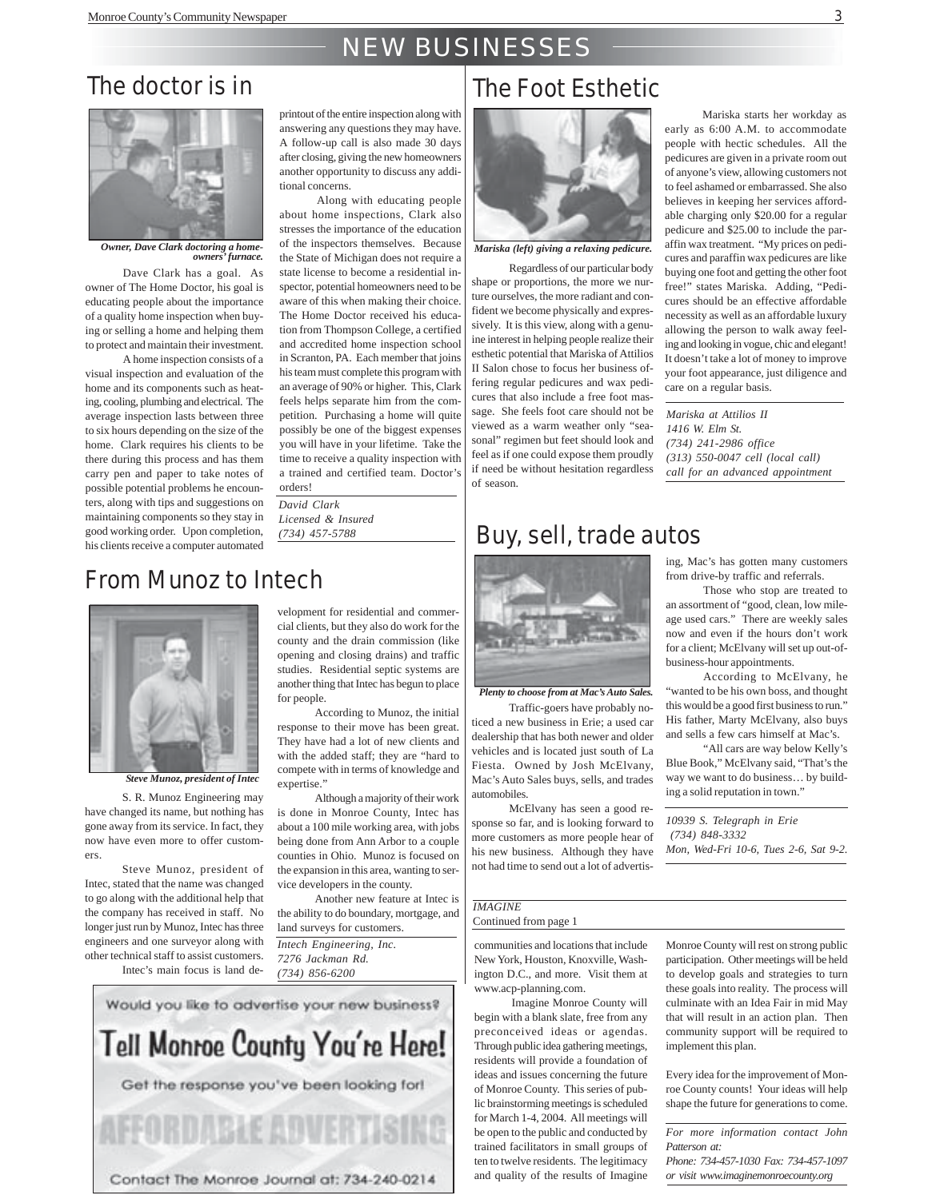### NEW BUSINESSES

### The doctor is in



*Owner, Dave Clark doctoring a homeowners' furnace.*

Dave Clark has a goal. As owner of The Home Doctor, his goal is educating people about the importance of a quality home inspection when buying or selling a home and helping them to protect and maintain their investment.

A home inspection consists of a visual inspection and evaluation of the home and its components such as heating, cooling, plumbing and electrical. The average inspection lasts between three to six hours depending on the size of the home. Clark requires his clients to be there during this process and has them carry pen and paper to take notes of possible potential problems he encounters, along with tips and suggestions on maintaining components so they stay in good working order. Upon completion, his clients receive a computer automated

printout of the entire inspection along with answering any questions they may have. A follow-up call is also made 30 days after closing, giving the new homeowners another opportunity to discuss any additional concerns.

Along with educating people about home inspections, Clark also stresses the importance of the education of the inspectors themselves. Because the State of Michigan does not require a state license to become a residential inspector, potential homeowners need to be aware of this when making their choice. The Home Doctor received his education from Thompson College, a certified and accredited home inspection school in Scranton, PA. Each member that joins his team must complete this program with an average of 90% or higher. This, Clark feels helps separate him from the competition. Purchasing a home will quite possibly be one of the biggest expenses you will have in your lifetime. Take the time to receive a quality inspection with a trained and certified team. Doctor's orders!

*David Clark Licensed & Insured (734) 457-5788*

### From Munoz to Intech



*Steve Munoz, president of Intec*

S. R. Munoz Engineering may have changed its name, but nothing has gone away from its service. In fact, they now have even more to offer customers.

Steve Munoz, president of Intec, stated that the name was changed to go along with the additional help that the company has received in staff. No longer just run by Munoz, Intec has three engineers and one surveyor along with other technical staff to assist customers. Intec's main focus is land de-

velopment for residential and commercial clients, but they also do work for the county and the drain commission (like opening and closing drains) and traffic studies. Residential septic systems are another thing that Intec has begun to place for people.

According to Munoz, the initial response to their move has been great. They have had a lot of new clients and with the added staff; they are "hard to compete with in terms of knowledge and expertise."

Although a majority of their work is done in Monroe County, Intec has about a 100 mile working area, with jobs being done from Ann Arbor to a couple counties in Ohio. Munoz is focused on the expansion in this area, wanting to service developers in the county.

Another new feature at Intec is the ability to do boundary, mortgage, and land surveys for customers. *Intech Engineering, Inc. 7276 Jackman Rd. (734) 856-6200*



### The Foot Esthetic



*Mariska (left) giving a relaxing pedicure.*

Regardless of our particular body shape or proportions, the more we nurture ourselves, the more radiant and confident we become physically and expressively. It is this view, along with a genuine interest in helping people realize their esthetic potential that Mariska of Attilios II Salon chose to focus her business offering regular pedicures and wax pedicures that also include a free foot massage. She feels foot care should not be viewed as a warm weather only "seasonal" regimen but feet should look and feel as if one could expose them proudly if need be without hesitation regardless of season.

Mariska starts her workday as early as 6:00 A.M. to accommodate people with hectic schedules. All the pedicures are given in a private room out of anyone's view, allowing customers not to feel ashamed or embarrassed. She also believes in keeping her services affordable charging only \$20.00 for a regular pedicure and \$25.00 to include the paraffin wax treatment. "My prices on pedicures and paraffin wax pedicures are like buying one foot and getting the other foot free!" states Mariska. Adding, "Pedicures should be an effective affordable necessity as well as an affordable luxury allowing the person to walk away feeling and looking in vogue, chic and elegant! It doesn't take a lot of money to improve your foot appearance, just diligence and care on a regular basis.

*Mariska at Attilios II 1416 W. Elm St. (734) 241-2986 office (313) 550-0047 cell (local call) call for an advanced appointment*

### Buy, sell, trade autos



*Plenty to choose from at Mac's Auto Sales.*

Traffic-goers have probably noticed a new business in Erie; a used car dealership that has both newer and older vehicles and is located just south of La Fiesta. Owned by Josh McElvany, Mac's Auto Sales buys, sells, and trades automobiles.

McElvany has seen a good response so far, and is looking forward to more customers as more people hear of his new business. Although they have not had time to send out a lot of advertis-

#### *IMAGINE* Continued from page 1

communities and locations that include New York, Houston, Knoxville, Washington D.C., and more. Visit them at www.acp-planning.com.

Imagine Monroe County will begin with a blank slate, free from any preconceived ideas or agendas. Through public idea gathering meetings, residents will provide a foundation of ideas and issues concerning the future of Monroe County. This series of public brainstorming meetings is scheduled for March 1-4, 2004. All meetings will be open to the public and conducted by trained facilitators in small groups of ten to twelve residents. The legitimacy and quality of the results of Imagine ing, Mac's has gotten many customers from drive-by traffic and referrals.

Those who stop are treated to an assortment of "good, clean, low mileage used cars." There are weekly sales now and even if the hours don't work for a client; McElvany will set up out-ofbusiness-hour appointments.

According to McElvany, he "wanted to be his own boss, and thought this would be a good first business to run." His father, Marty McElvany, also buys and sells a few cars himself at Mac's.

"All cars are way below Kelly's Blue Book," McElvany said, "That's the way we want to do business… by building a solid reputation in town."

*10939 S. Telegraph in Erie (734) 848-3332 Mon, Wed-Fri 10-6, Tues 2-6, Sat 9-2.*

Monroe County will rest on strong public participation. Other meetings will be held to develop goals and strategies to turn these goals into reality. The process will culminate with an Idea Fair in mid May that will result in an action plan. Then community support will be required to implement this plan.

Every idea for the improvement of Monroe County counts! Your ideas will help shape the future for generations to come.

*For more information contact John Patterson at: Phone: 734-457-1030 Fax: 734-457-1097 or visit www.imaginemonroecounty.org*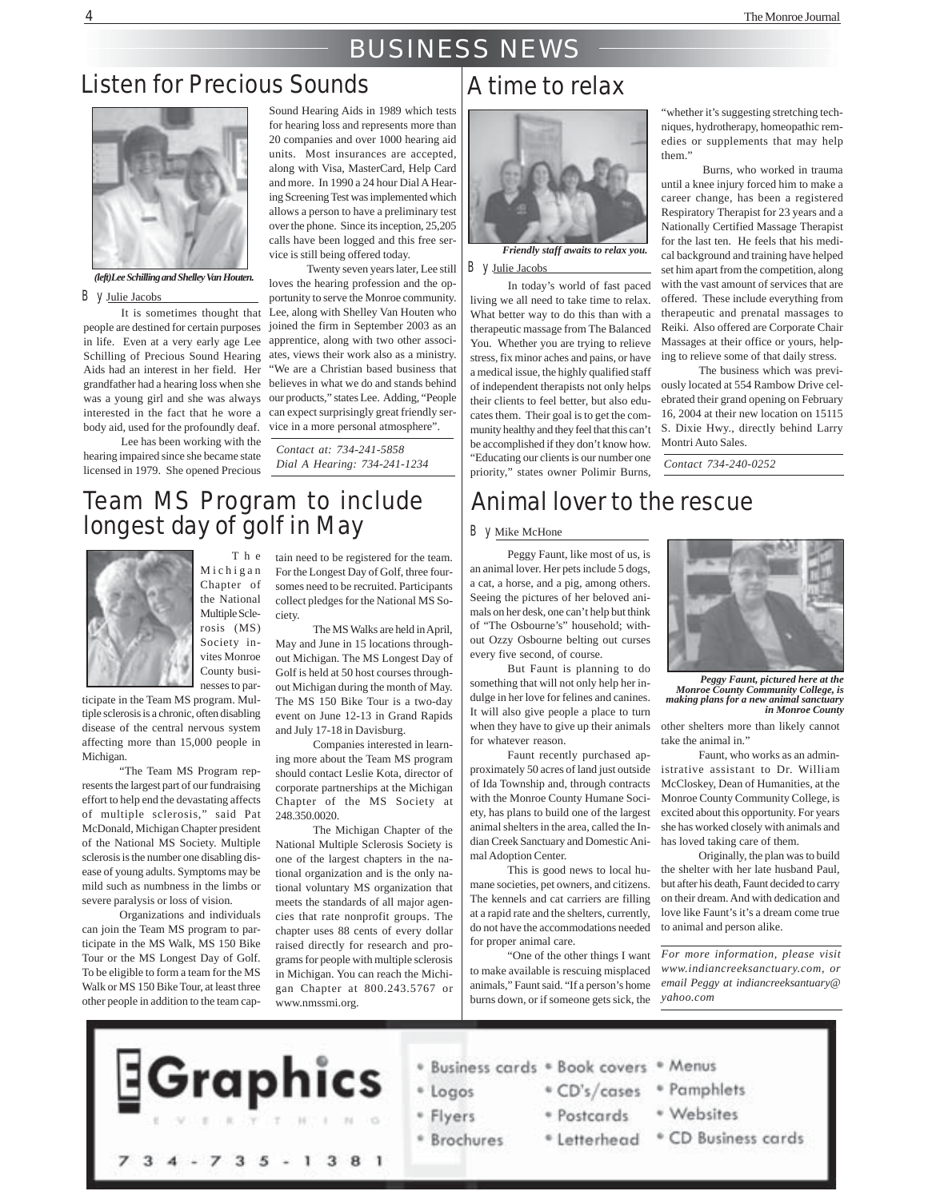### BUSINESS NEWS

### Listen for Precious Sounds



#### *(left)Lee Schilling and Shelley Van Houten.*

#### By Julie Jacobs

It is sometimes thought that people are destined for certain purposes Schilling of Precious Sound Hearing was a young girl and she was always body aid, used for the profoundly deaf.

Lee has been working with the hearing impaired since she became state licensed in 1979. She opened Precious

Sound Hearing Aids in 1989 which tests for hearing loss and represents more than 20 companies and over 1000 hearing aid units. Most insurances are accepted, along with Visa, MasterCard, Help Card and more. In 1990 a 24 hour Dial A Hearing Screening Test was implemented which allows a person to have a preliminary test over the phone. Since its inception, 25,205 calls have been logged and this free service is still being offered today.

in life. Even at a very early age Lee apprentice, along with two other associ-Aids had an interest in her field. Her "We are a Christian based business that grandfather had a hearing loss when she believes in what we do and stands behind interested in the fact that he wore a can expect surprisingly great friendly ser-Twenty seven years later, Lee still loves the hearing profession and the opportunity to serve the Monroe community. Lee, along with Shelley Van Houten who joined the firm in September 2003 as an ates, views their work also as a ministry. our products," states Lee. Adding, "People vice in a more personal atmosphere".

> *Contact at: 734-241-5858 Dial A Hearing: 734-241-1234*

### Team MS Program to include longest day of golf in May

The



Michigan Chapter of the National Multiple Sclerosis (MS) Society invites Monroe County businesses to par-

ticipate in the Team MS program. Multiple sclerosis is a chronic, often disabling disease of the central nervous system affecting more than 15,000 people in Michigan.

"The Team MS Program represents the largest part of our fundraising effort to help end the devastating affects of multiple sclerosis," said Pat McDonald, Michigan Chapter president of the National MS Society. Multiple sclerosis is the number one disabling disease of young adults. Symptoms may be mild such as numbness in the limbs or severe paralysis or loss of vision.

Organizations and individuals can join the Team MS program to participate in the MS Walk, MS 150 Bike Tour or the MS Longest Day of Golf. To be eligible to form a team for the MS Walk or MS 150 Bike Tour, at least three other people in addition to the team captain need to be registered for the team. For the Longest Day of Golf, three foursomes need to be recruited. Participants collect pledges for the National MS Society.

The MS Walks are held in April, May and June in 15 locations throughout Michigan. The MS Longest Day of Golf is held at 50 host courses throughout Michigan during the month of May. The MS 150 Bike Tour is a two-day event on June 12-13 in Grand Rapids and July 17-18 in Davisburg.

Companies interested in learning more about the Team MS program should contact Leslie Kota, director of corporate partnerships at the Michigan Chapter of the MS Society at 248.350.0020.

The Michigan Chapter of the National Multiple Sclerosis Society is one of the largest chapters in the national organization and is the only national voluntary MS organization that meets the standards of all major agencies that rate nonprofit groups. The chapter uses 88 cents of every dollar raised directly for research and programs for people with multiple sclerosis in Michigan. You can reach the Michigan Chapter at 800.243.5767 or www.nmssmi.org.

### A time to relax



*Friendly staff awaits to relax you.* By Julie Jacobs

In today's world of fast paced living we all need to take time to relax. What better way to do this than with a therapeutic massage from The Balanced You. Whether you are trying to relieve stress, fix minor aches and pains, or have a medical issue, the highly qualified staff of independent therapists not only helps their clients to feel better, but also educates them. Their goal is to get the community healthy and they feel that this can't be accomplished if they don't know how. "Educating our clients is our number one priority," states owner Polimir Burns,

"whether it's suggesting stretching techniques, hydrotherapy, homeopathic remedies or supplements that may help them"

 Burns, who worked in trauma until a knee injury forced him to make a career change, has been a registered Respiratory Therapist for 23 years and a Nationally Certified Massage Therapist for the last ten. He feels that his medical background and training have helped set him apart from the competition, along with the vast amount of services that are offered. These include everything from therapeutic and prenatal massages to Reiki. Also offered are Corporate Chair Massages at their office or yours, helping to relieve some of that daily stress.

The business which was previously located at 554 Rambow Drive celebrated their grand opening on February 16, 2004 at their new location on 15115 S. Dixie Hwy., directly behind Larry Montri Auto Sales.

*Contact 734-240-0252*

### Animal lover to the rescue

#### By Mike McHone

Peggy Faunt, like most of us, is an animal lover. Her pets include 5 dogs, a cat, a horse, and a pig, among others. Seeing the pictures of her beloved animals on her desk, one can't help but think of "The Osbourne's" household; without Ozzy Osbourne belting out curses every five second, of course.

But Faunt is planning to do something that will not only help her indulge in her love for felines and canines. It will also give people a place to turn when they have to give up their animals for whatever reason.

Faunt recently purchased approximately 50 acres of land just outside of Ida Township and, through contracts with the Monroe County Humane Society, has plans to build one of the largest animal shelters in the area, called the Indian Creek Sanctuary and Domestic Animal Adoption Center.

This is good news to local humane societies, pet owners, and citizens. The kennels and cat carriers are filling at a rapid rate and the shelters, currently, do not have the accommodations needed for proper animal care.

"One of the other things I want to make available is rescuing misplaced animals," Faunt said. "If a person's home burns down, or if someone gets sick, the



*Peggy Faunt, pictured here at the Monroe County Community College, is making plans for a new animal sanctuary in Monroe County*

other shelters more than likely cannot take the animal in.'

Faunt, who works as an administrative assistant to Dr. William McCloskey, Dean of Humanities, at the Monroe County Community College, is excited about this opportunity. For years she has worked closely with animals and has loved taking care of them.

Originally, the plan was to build the shelter with her late husband Paul, but after his death, Faunt decided to carry on their dream. And with dedication and love like Faunt's it's a dream come true to animal and person alike.

*For more information, please visit www.indiancreeksanctuary.com, or email Peggy at indiancreeksantuary@ yahoo.com*

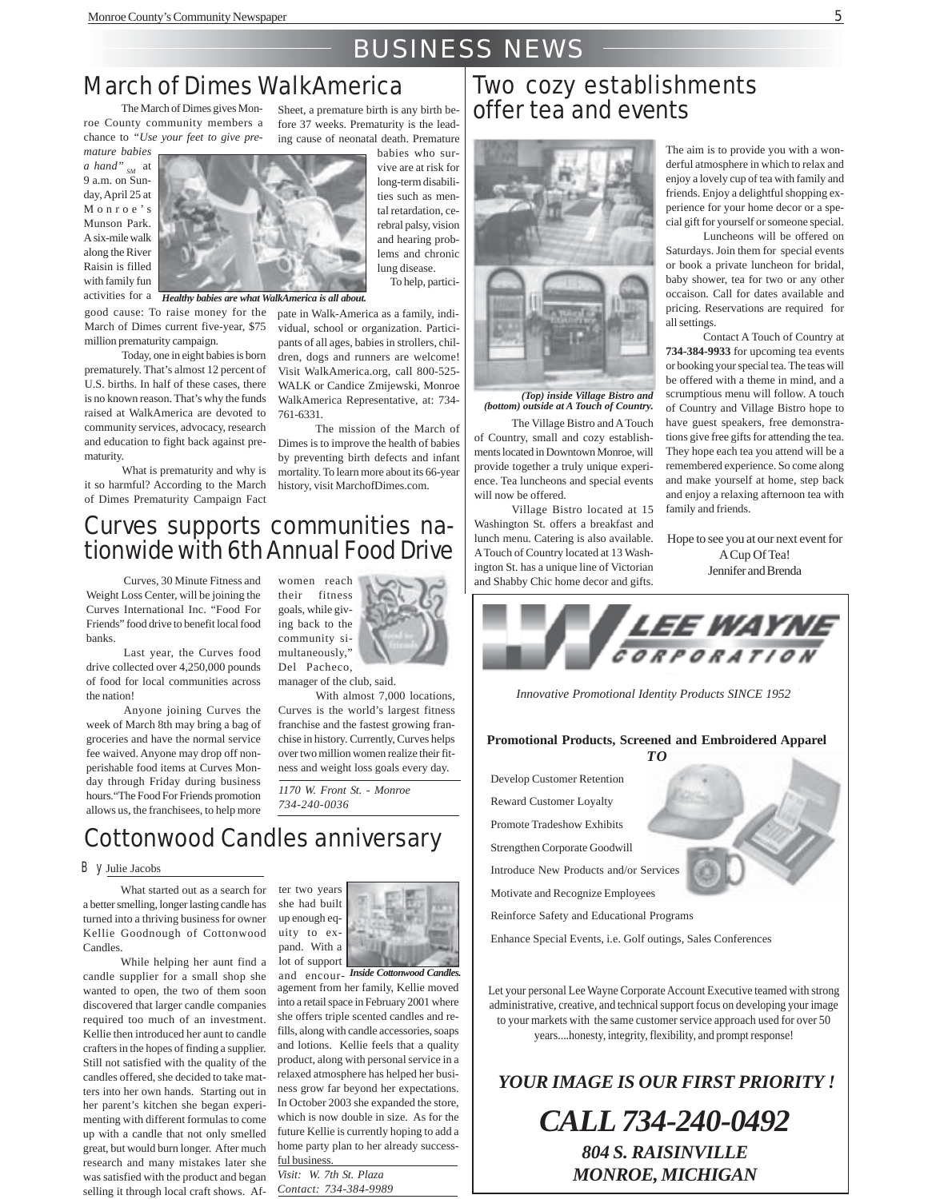### BUSINESS NEWS

### March of Dimes WalkAmerica

The March of Dimes gives Monroe County community members a chance to *"Use your feet to give pre-*

*mature babies a hand" SM* at 9 a.m. on Sunday, April 25 at Monroe's Munson Park. A six-mile walk along the River Raisin is filled with family fun activities for a

good cause: To raise money for the March of Dimes current five-year, \$75 million prematurity campaign.

Today, one in eight babies is born prematurely. That's almost 12 percent of U.S. births. In half of these cases, there is no known reason. That's why the funds raised at WalkAmerica are devoted to community services, advocacy, research and education to fight back against prematurity.

What is prematurity and why is it so harmful? According to the March of Dimes Prematurity Campaign Fact

Sheet, a premature birth is any birth before 37 weeks. Prematurity is the leading cause of neonatal death. Premature

babies who survive are at risk for long-term disabilities such as mental retardation, cerebral palsy, vision and hearing problems and chronic lung disease. To help, partici-

*Healthy babies are what WalkAmerica is all about.*

pate in Walk-America as a family, individual, school or organization. Participants of all ages, babies in strollers, children, dogs and runners are welcome! Visit WalkAmerica.org, call 800-525- WALK or Candice Zmijewski, Monroe WalkAmerica Representative, at: 734- 761-6331.

The mission of the March of Dimes is to improve the health of babies by preventing birth defects and infant mortality. To learn more about its 66-year history, visit MarchofDimes.com.

### Curves supports communities nationwide with 6th Annual Food Drive

Curves, 30 Minute Fitness and Weight Loss Center, will be joining the Curves International Inc. "Food For Friends" food drive to benefit local food banks.

Last year, the Curves food drive collected over 4,250,000 pounds of food for local communities across the nation!

Anyone joining Curves the week of March 8th may bring a bag of groceries and have the normal service fee waived. Anyone may drop off nonperishable food items at Curves Monday through Friday during business hours."The Food For Friends promotion allows us, the franchisees, to help more their fitness goals, while giving back to the community simultaneously," Del Pacheco,

women reach

manager of the club, said. With almost 7,000 locations,

Curves is the world's largest fitness franchise and the fastest growing franchise in history. Currently, Curves helps over two million women realize their fitness and weight loss goals every day.

*1170 W. Front St. - Monroe 734-240-0036*

### Cottonwood Candles anniversary

#### By Julie Jacobs

What started out as a search for a better smelling, longer lasting candle has turned into a thriving business for owner Kellie Goodnough of Cottonwood **Candles** 

While helping her aunt find a candle supplier for a small shop she wanted to open, the two of them soon discovered that larger candle companies required too much of an investment. Kellie then introduced her aunt to candle crafters in the hopes of finding a supplier. Still not satisfied with the quality of the candles offered, she decided to take matters into her own hands. Starting out in her parent's kitchen she began experimenting with different formulas to come up with a candle that not only smelled great, but would burn longer. After much research and many mistakes later she was satisfied with the product and began selling it through local craft shows. Af-

ter two years she had built up enough equity to expand. With a lot of support

and encour-*Inside Cottonwood Candles.* agement from her family, Kellie moved into a retail space in February 2001 where she offers triple scented candles and refills, along with candle accessories, soaps and lotions. Kellie feels that a quality product, along with personal service in a relaxed atmosphere has helped her business grow far beyond her expectations. In October 2003 she expanded the store, which is now double in size. As for the future Kellie is currently hoping to add a home party plan to her already successful business

*Visit: W. 7th St. Plaza Contact: 734-384-9989*

### Two cozy establishments offer tea and events



*(Top) inside Village Bistro and (bottom) outside at A Touch of Country.*

The Village Bistro and A Touch of Country, small and cozy establishments located in Downtown Monroe, will provide together a truly unique experience. Tea luncheons and special events will now be offered.

Village Bistro located at 15 Washington St. offers a breakfast and lunch menu. Catering is also available. A Touch of Country located at 13 Washington St. has a unique line of Victorian and Shabby Chic home decor and gifts.

The aim is to provide you with a wonderful atmosphere in which to relax and enjoy a lovely cup of tea with family and friends. Enjoy a delightful shopping experience for your home decor or a special gift for yourself or someone special.

Luncheons will be offered on Saturdays. Join them for special events or book a private luncheon for bridal, baby shower, tea for two or any other occaison. Call for dates available and pricing. Reservations are required for all settings.

Contact A Touch of Country at **734-384-9933** for upcoming tea events or booking your special tea. The teas will be offered with a theme in mind, and a scrumptious menu will follow. A touch of Country and Village Bistro hope to have guest speakers, free demonstrations give free gifts for attending the tea. They hope each tea you attend will be a remembered experience. So come along and make yourself at home, step back and enjoy a relaxing afternoon tea with family and friends.

Hope to see you at our next event for A Cup Of Tea! Jennifer and Brenda



*Innovative Promotional Identity Products SINCE 1952*

#### **Promotional Products, Screened and Embroidered Apparel**

Develop Customer Retention Reward Customer Loyalty Promote Tradeshow Exhibits Strengthen Corporate Goodwill Introduce New Products and/or Services

Motivate and Recognize Employees

Reinforce Safety and Educational Programs

Enhance Special Events, i.e. Golf outings, Sales Conferences

Let your personal Lee Wayne Corporate Account Executive teamed with strong administrative, creative, and technical support focus on developing your image to your markets with the same customer service approach used for over 50 years....honesty, integrity, flexibility, and prompt response!

*YOUR IMAGE IS OUR FIRST PRIORITY !*

*CALL 734-240-0492 804 S. RAISINVILLE MONROE, MICHIGAN*

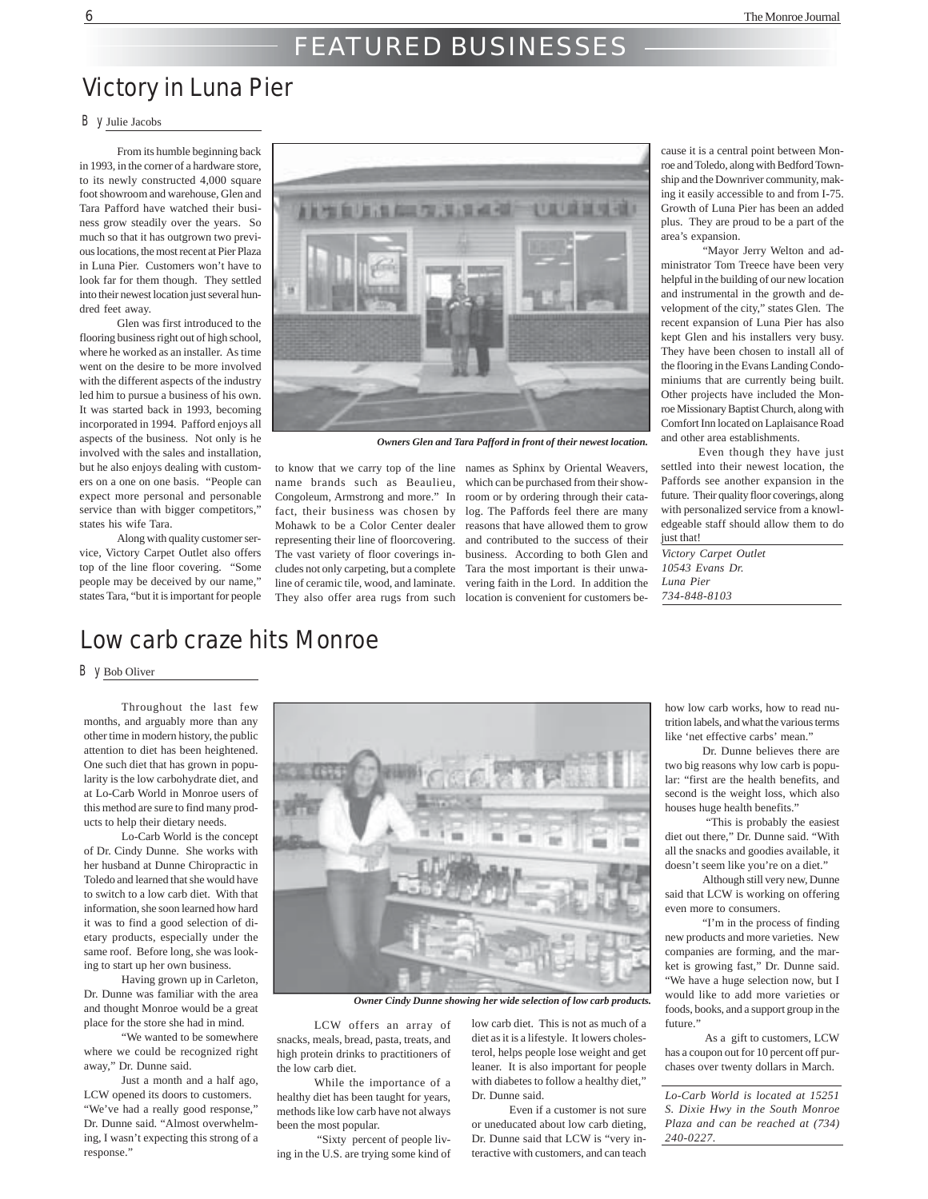### FEATURED BUSINESSES

### Victory in Luna Pier

#### By Julie Jacobs

From its humble beginning back in 1993, in the corner of a hardware store to its newly constructed 4,000 square foot showroom and warehouse, Glen and Tara Pafford have watched their business grow steadily over the years. So much so that it has outgrown two previous locations, the most recent at Pier Plaza in Luna Pier. Customers won't have to look far for them though. They settled into their newest location just several hundred feet away.

Glen was first introduced to the flooring business right out of high school, where he worked as an installer. As time went on the desire to be more involved with the different aspects of the industry led him to pursue a business of his own. It was started back in 1993, becoming incorporated in 1994. Pafford enjoys all aspects of the business. Not only is he involved with the sales and installation, but he also enjoys dealing with customers on a one on one basis. "People can expect more personal and personable service than with bigger competitors," states his wife Tara.

Along with quality customer service, Victory Carpet Outlet also offers top of the line floor covering. "Some people may be deceived by our name," states Tara, "but it is important for people



*Owners Glen and Tara Pafford in front of their newest location.*

fact, their business was chosen by representing their line of floorcovering. The vast variety of floor coverings includes not only carpeting, but a complete line of ceramic tile, wood, and laminate.

to know that we carry top of the line names as Sphinx by Oriental Weavers, name brands such as Beaulieu, which can be purchased from their show-Congoleum, Armstrong and more." In room or by ordering through their cata-Mohawk to be a Color Center dealer reasons that have allowed them to grow They also offer area rugs from such location is convenient for customers belog. The Paffords feel there are many and contributed to the success of their business. According to both Glen and Tara the most important is their unwavering faith in the Lord. In addition the

cause it is a central point between Monroe and Toledo, along with Bedford Township and the Downriver community, making it easily accessible to and from I-75. Growth of Luna Pier has been an added plus. They are proud to be a part of the area's expansion.

 "Mayor Jerry Welton and administrator Tom Treece have been very helpful in the building of our new location and instrumental in the growth and development of the city," states Glen. The recent expansion of Luna Pier has also kept Glen and his installers very busy. They have been chosen to install all of the flooring in the Evans Landing Condominiums that are currently being built. Other projects have included the Monroe Missionary Baptist Church, along with Comfort Inn located on Laplaisance Road and other area establishments.

Even though they have just settled into their newest location, the Paffords see another expansion in the future. Their quality floor coverings, along with personalized service from a knowledgeable staff should allow them to do just that!

*Victory Carpet Outlet 10543 Evans Dr. Luna Pier 734-848-8103*

### Low carb craze hits Monroe

#### By Bob Oliver

Throughout the last few months, and arguably more than any other time in modern history, the public attention to diet has been heightened. One such diet that has grown in popularity is the low carbohydrate diet, and at Lo-Carb World in Monroe users of this method are sure to find many products to help their dietary needs.

Lo-Carb World is the concept of Dr. Cindy Dunne. She works with her husband at Dunne Chiropractic in Toledo and learned that she would have to switch to a low carb diet. With that information, she soon learned how hard it was to find a good selection of dietary products, especially under the same roof. Before long, she was looking to start up her own business.

Having grown up in Carleton, Dr. Dunne was familiar with the area and thought Monroe would be a great place for the store she had in mind.

"We wanted to be somewhere where we could be recognized right away," Dr. Dunne said.

Just a month and a half ago, LCW opened its doors to customers. "We've had a really good response," Dr. Dunne said. "Almost overwhelming, I wasn't expecting this strong of a response."



*Owner Cindy Dunne showing her wide selection of low carb products.*

LCW offers an array of snacks, meals, bread, pasta, treats, and high protein drinks to practitioners of the low carb diet.

While the importance of a healthy diet has been taught for years, methods like low carb have not always been the most popular.

 "Sixty percent of people living in the U.S. are trying some kind of

low carb diet. This is not as much of a diet as it is a lifestyle. It lowers cholesterol, helps people lose weight and get leaner. It is also important for people with diabetes to follow a healthy diet," Dr. Dunne said.

Even if a customer is not sure or uneducated about low carb dieting, Dr. Dunne said that LCW is "very interactive with customers, and can teach how low carb works, how to read nutrition labels, and what the various terms like 'net effective carbs' mean.

Dr. Dunne believes there are two big reasons why low carb is popular: "first are the health benefits, and second is the weight loss, which also houses huge health benefits.'

 "This is probably the easiest diet out there," Dr. Dunne said. "With all the snacks and goodies available, it doesn't seem like you're on a diet."

Although still very new, Dunne said that LCW is working on offering even more to consumers.

"I'm in the process of finding new products and more varieties. New companies are forming, and the market is growing fast," Dr. Dunne said. "We have a huge selection now, but I would like to add more varieties or foods, books, and a support group in the future."

 As a gift to customers, LCW has a coupon out for 10 percent off purchases over twenty dollars in March.

*Lo-Carb World is located at 15251 S. Dixie Hwy in the South Monroe Plaza and can be reached at (734) 240-0227.*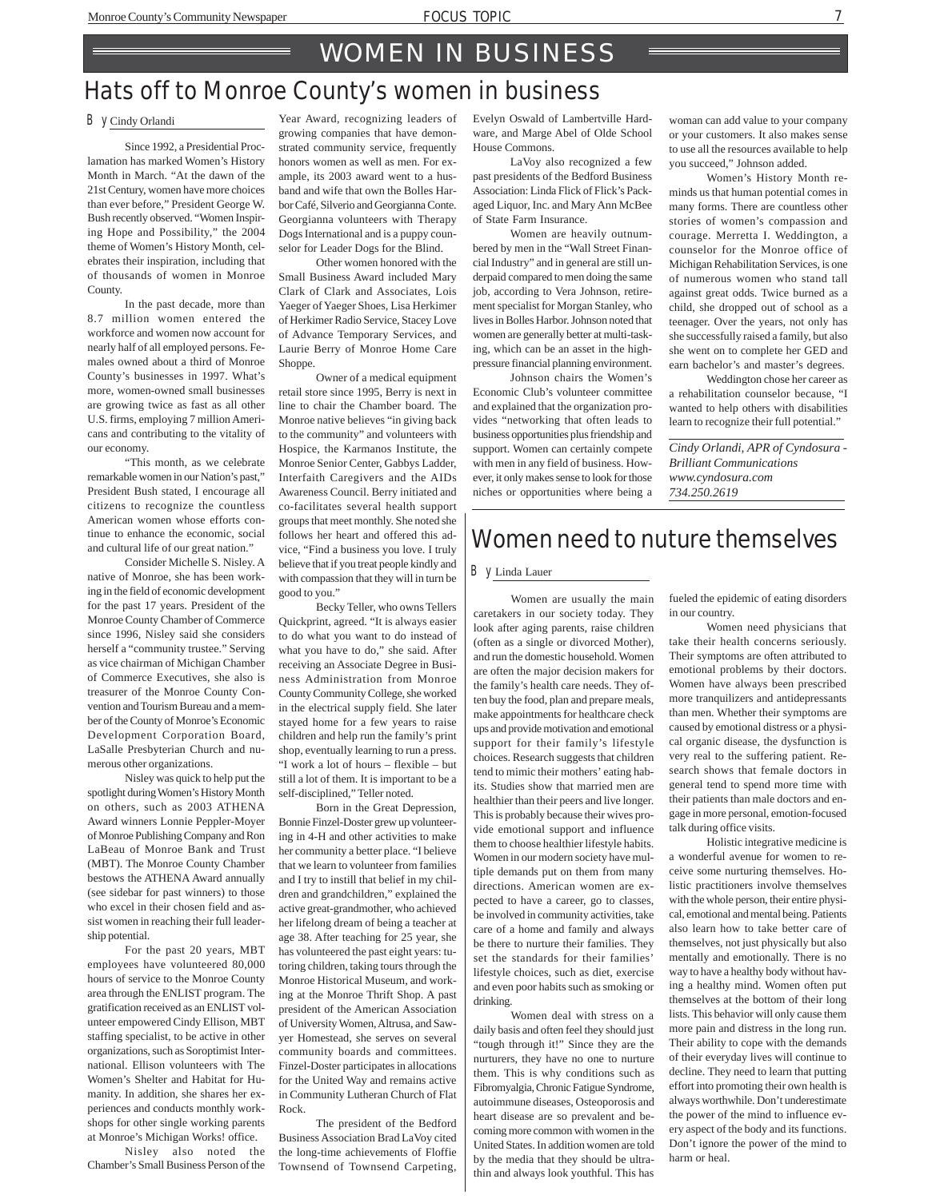### Hats off to Monroe County's women in business

#### By Cindy Orlandi

Since 1992, a Presidential Proclamation has marked Women's History Month in March. "At the dawn of the 21st Century, women have more choices than ever before," President George W. Bush recently observed. "Women Inspiring Hope and Possibility," the 2004 theme of Women's History Month, celebrates their inspiration, including that of thousands of women in Monroe County.

In the past decade, more than 8.7 million women entered the workforce and women now account for nearly half of all employed persons. Females owned about a third of Monroe County's businesses in 1997. What's more, women-owned small businesses are growing twice as fast as all other U.S. firms, employing 7 million Americans and contributing to the vitality of our economy.

"This month, as we celebrate remarkable women in our Nation's past," President Bush stated, I encourage all citizens to recognize the countless American women whose efforts continue to enhance the economic, social and cultural life of our great nation."

Consider Michelle S. Nisley. A native of Monroe, she has been working in the field of economic development for the past 17 years. President of the Monroe County Chamber of Commerce since 1996, Nisley said she considers herself a "community trustee." Serving as vice chairman of Michigan Chamber of Commerce Executives, she also is treasurer of the Monroe County Convention and Tourism Bureau and a member of the County of Monroe's Economic Development Corporation Board, LaSalle Presbyterian Church and numerous other organizations.

Nisley was quick to help put the spotlight during Women's History Month on others, such as 2003 ATHENA Award winners Lonnie Peppler-Moyer of Monroe Publishing Company and Ron LaBeau of Monroe Bank and Trust (MBT). The Monroe County Chamber bestows the ATHENA Award annually (see sidebar for past winners) to those who excel in their chosen field and assist women in reaching their full leadership potential.

For the past 20 years, MBT employees have volunteered 80,000 hours of service to the Monroe County area through the ENLIST program. The gratification received as an ENLIST volunteer empowered Cindy Ellison, MBT staffing specialist, to be active in other organizations, such as Soroptimist International. Ellison volunteers with The Women's Shelter and Habitat for Humanity. In addition, she shares her experiences and conducts monthly workshops for other single working parents at Monroe's Michigan Works! office.

Nisley also noted the Chamber's Small Business Person of the Year Award, recognizing leaders of growing companies that have demonstrated community service, frequently honors women as well as men. For example, its 2003 award went to a husband and wife that own the Bolles Harbor Café, Silverio and Georgianna Conte. Georgianna volunteers with Therapy Dogs International and is a puppy counselor for Leader Dogs for the Blind.

Other women honored with the Small Business Award included Mary Clark of Clark and Associates, Lois Yaeger of Yaeger Shoes, Lisa Herkimer of Herkimer Radio Service, Stacey Love of Advance Temporary Services, and Laurie Berry of Monroe Home Care Shoppe.

Owner of a medical equipment retail store since 1995, Berry is next in line to chair the Chamber board. The Monroe native believes "in giving back to the community" and volunteers with Hospice, the Karmanos Institute, the Monroe Senior Center, Gabbys Ladder, Interfaith Caregivers and the AIDs Awareness Council. Berry initiated and co-facilitates several health support groups that meet monthly. She noted she follows her heart and offered this advice, "Find a business you love. I truly believe that if you treat people kindly and with compassion that they will in turn be good to you."

Becky Teller, who owns Tellers Quickprint, agreed. "It is always easier to do what you want to do instead of what you have to do," she said. After receiving an Associate Degree in Business Administration from Monroe County Community College, she worked in the electrical supply field. She later stayed home for a few years to raise children and help run the family's print shop, eventually learning to run a press. "I work a lot of hours – flexible – but still a lot of them. It is important to be a self-disciplined," Teller noted.

Born in the Great Depression, Bonnie Finzel-Doster grew up volunteering in 4-H and other activities to make her community a better place. "I believe that we learn to volunteer from families and I try to instill that belief in my children and grandchildren," explained the active great-grandmother, who achieved her lifelong dream of being a teacher at age 38. After teaching for 25 year, she has volunteered the past eight years: tutoring children, taking tours through the Monroe Historical Museum, and working at the Monroe Thrift Shop. A past president of the American Association of University Women, Altrusa, and Sawyer Homestead, she serves on several community boards and committees. Finzel-Doster participates in allocations for the United Way and remains active in Community Lutheran Church of Flat Rock.

The president of the Bedford Business Association Brad LaVoy cited the long-time achievements of Floffie Townsend of Townsend Carpeting,

Evelyn Oswald of Lambertville Hardware, and Marge Abel of Olde School House Commons.

LaVoy also recognized a few past presidents of the Bedford Business Association: Linda Flick of Flick's Packaged Liquor, Inc. and Mary Ann McBee of State Farm Insurance.

Women are heavily outnumbered by men in the "Wall Street Financial Industry" and in general are still underpaid compared to men doing the same job, according to Vera Johnson, retirement specialist for Morgan Stanley, who lives in Bolles Harbor. Johnson noted that women are generally better at multi-tasking, which can be an asset in the highpressure financial planning environment.

Johnson chairs the Women's Economic Club's volunteer committee and explained that the organization provides "networking that often leads to business opportunities plus friendship and support. Women can certainly compete with men in any field of business. However, it only makes sense to look for those niches or opportunities where being a

woman can add value to your company or your customers. It also makes sense to use all the resources available to help you succeed," Johnson added.

Women's History Month reminds us that human potential comes in many forms. There are countless other stories of women's compassion and courage. Merretta I. Weddington, a counselor for the Monroe office of Michigan Rehabilitation Services, is one of numerous women who stand tall against great odds. Twice burned as a child, she dropped out of school as a teenager. Over the years, not only has she successfully raised a family, but also she went on to complete her GED and earn bachelor's and master's degrees.

Weddington chose her career as a rehabilitation counselor because, "I wanted to help others with disabilities learn to recognize their full potential."

*Cindy Orlandi, APR of Cyndosura - Brilliant Communications www.cyndosura.com 734.250.2619*

### Women need to nuture themselves

#### By Linda Lauer

Women are usually the main caretakers in our society today. They look after aging parents, raise children (often as a single or divorced Mother), and run the domestic household. Women are often the major decision makers for the family's health care needs. They often buy the food, plan and prepare meals, make appointments for healthcare check ups and provide motivation and emotional support for their family's lifestyle choices. Research suggests that children tend to mimic their mothers' eating habits. Studies show that married men are healthier than their peers and live longer. This is probably because their wives provide emotional support and influence them to choose healthier lifestyle habits. Women in our modern society have multiple demands put on them from many directions. American women are expected to have a career, go to classes, be involved in community activities, take care of a home and family and always be there to nurture their families. They set the standards for their families' lifestyle choices, such as diet, exercise and even poor habits such as smoking or drinking.

Women deal with stress on a daily basis and often feel they should just "tough through it!" Since they are the nurturers, they have no one to nurture them. This is why conditions such as Fibromyalgia, Chronic Fatigue Syndrome, autoimmune diseases, Osteoporosis and heart disease are so prevalent and becoming more common with women in the United States. In addition women are told by the media that they should be ultrathin and always look youthful. This has fueled the epidemic of eating disorders in our country.

Women need physicians that take their health concerns seriously. Their symptoms are often attributed to emotional problems by their doctors. Women have always been prescribed more tranquilizers and antidepressants than men. Whether their symptoms are caused by emotional distress or a physical organic disease, the dysfunction is very real to the suffering patient. Research shows that female doctors in general tend to spend more time with their patients than male doctors and engage in more personal, emotion-focused talk during office visits.

Holistic integrative medicine is a wonderful avenue for women to receive some nurturing themselves. Holistic practitioners involve themselves with the whole person, their entire physical, emotional and mental being. Patients also learn how to take better care of themselves, not just physically but also mentally and emotionally. There is no way to have a healthy body without having a healthy mind. Women often put themselves at the bottom of their long lists. This behavior will only cause them more pain and distress in the long run. Their ability to cope with the demands of their everyday lives will continue to decline. They need to learn that putting effort into promoting their own health is always worthwhile. Don't underestimate the power of the mind to influence every aspect of the body and its functions. Don't ignore the power of the mind to harm or heal.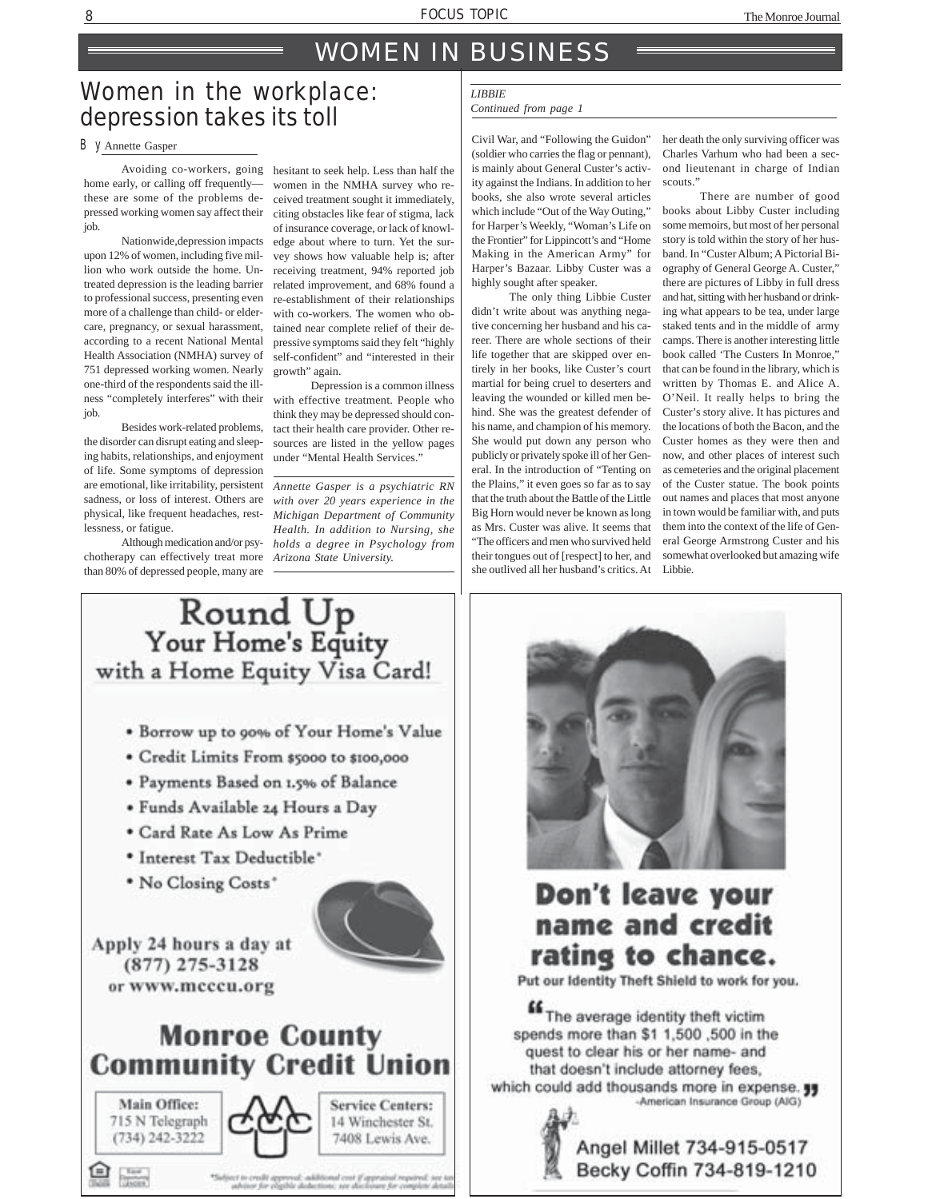### WOMEN IN BUSINESS

### Women in the workplace: depression takes its toll

home early, or calling off frequently these are some of the problems depressed working women say affect their job.

Nationwide,depression impacts upon 12% of women, including five million who work outside the home. Untreated depression is the leading barrier to professional success, presenting even more of a challenge than child- or eldercare, pregnancy, or sexual harassment, according to a recent National Mental Health Association (NMHA) survey of 751 depressed working women. Nearly one-third of the respondents said the illness "completely interferes" with their job.

Besides work-related problems, the disorder can disrupt eating and sleeping habits, relationships, and enjoyment of life. Some symptoms of depression are emotional, like irritability, persistent *Annette Gasper is a psychiatric RN* physical, like frequent headaches, restlessness, or fatigue.

Although medication and/or psychotherapy can effectively treat more than 80% of depressed people, many are

Avoiding co-workers, going hesitant to seek help. Less than half the women in the NMHA survey who received treatment sought it immediately, citing obstacles like fear of stigma, lack of insurance coverage, or lack of knowledge about where to turn. Yet the survey shows how valuable help is; after receiving treatment, 94% reported job related improvement, and 68% found a re-establishment of their relationships with co-workers. The women who obtained near complete relief of their depressive symptoms said they felt "highly self-confident" and "interested in their growth" again.

> Depression is a common illness with effective treatment. People who think they may be depressed should contact their health care provider. Other resources are listed in the yellow pages under "Mental Health Services."

sadness, or loss of interest. Others are *with over 20 years experience in the Michigan Department of Community Health. In addition to Nursing, she holds a degree in Psychology from Arizona State University.*

### *LIBBIE*

### *Continued from page 1*

By Annette Gasper Civil War, and "Following the Guidon" (soldier who carries the flag or pennant), is mainly about General Custer's activity against the Indians. In addition to her books, she also wrote several articles which include "Out of the Way Outing," for Harper's Weekly, "Woman's Life on the Frontier" for Lippincott's and "Home Making in the American Army" for Harper's Bazaar. Libby Custer was a highly sought after speaker.

The only thing Libbie Custer didn't write about was anything negative concerning her husband and his career. There are whole sections of their life together that are skipped over entirely in her books, like Custer's court martial for being cruel to deserters and leaving the wounded or killed men behind. She was the greatest defender of his name, and champion of his memory. She would put down any person who publicly or privately spoke ill of her General. In the introduction of "Tenting on the Plains," it even goes so far as to say that the truth about the Battle of the Little Big Horn would never be known as long as Mrs. Custer was alive. It seems that "The officers and men who survived held their tongues out of [respect] to her, and she outlived all her husband's critics. At Libbie.

her death the only surviving officer was Charles Varhum who had been a second lieutenant in charge of Indian scouts."

There are number of good books about Libby Custer including some memoirs, but most of her personal story is told within the story of her husband. In "Custer Album; A Pictorial Biography of General George A. Custer," there are pictures of Libby in full dress and hat, sitting with her husband or drinking what appears to be tea, under large staked tents and in the middle of army camps. There is another interesting little book called 'The Custers In Monroe," that can be found in the library, which is written by Thomas E. and Alice A. O'Neil. It really helps to bring the Custer's story alive. It has pictures and the locations of both the Bacon, and the Custer homes as they were then and now, and other places of interest such as cemeteries and the original placement of the Custer statue. The book points out names and places that most anyone in town would be familiar with, and puts them into the context of the life of General George Armstrong Custer and his somewhat overlooked but amazing wife





### Don't leave your name and credit rating to chance.

Put our Identity Theft Shield to work for you.

File average identity theft victim spends more than \$1 1,500,500 in the quest to clear his or her name- and that doesn't include attorney fees, which could add thousands more in expense. -American Insurance Group (AIG)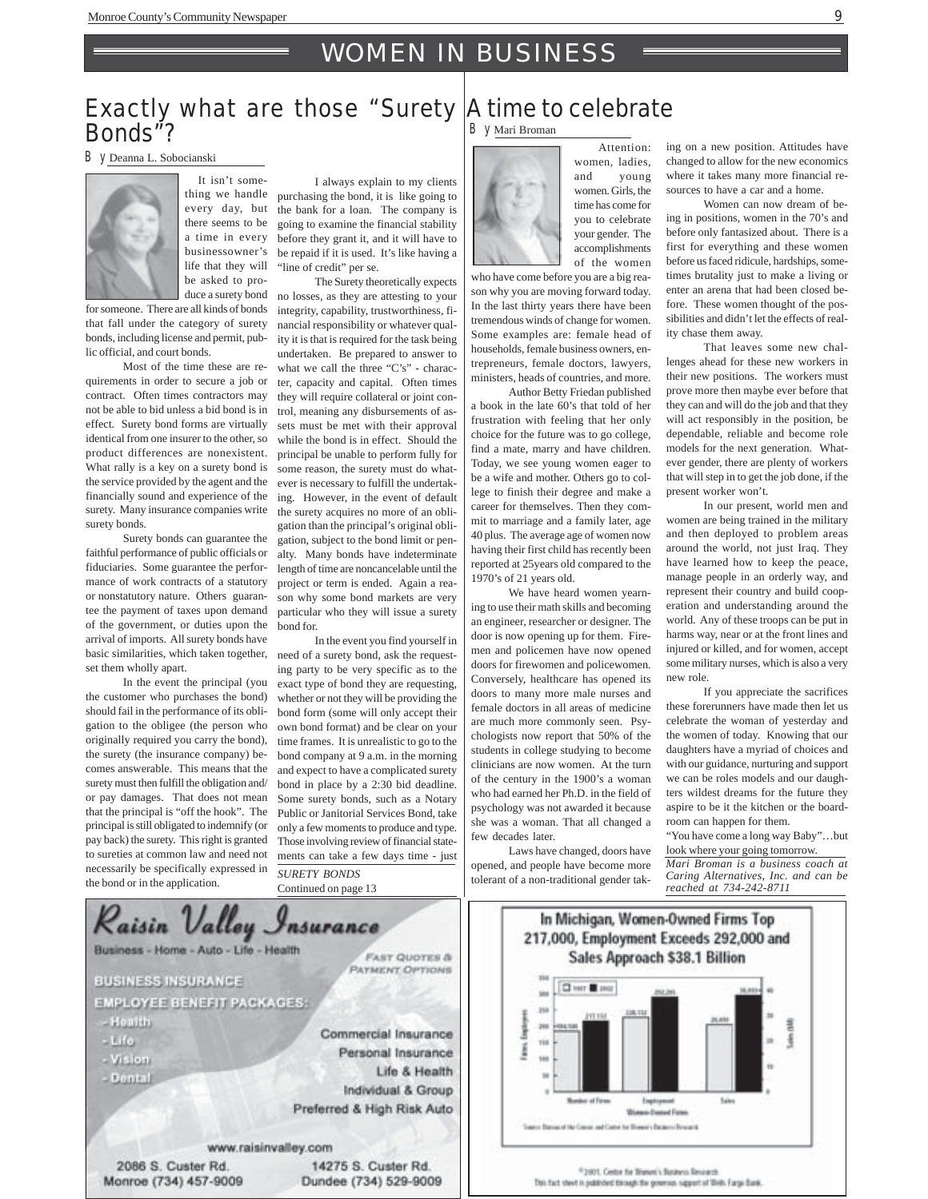### WOMEN IN BUSINESS

### Exactly what are those "Surety A time to celebrate Bonds"?

By Deanna L. Sobocianski



It isn't something we handle every day, but there seems to be a time in every businessowner's life that they will be asked to produce a surety bond

for someone. There are all kinds of bonds that fall under the category of surety bonds, including license and permit, public official, and court bonds.

Most of the time these are requirements in order to secure a job or contract. Often times contractors may not be able to bid unless a bid bond is in effect. Surety bond forms are virtually identical from one insurer to the other, so product differences are nonexistent. What rally is a key on a surety bond is the service provided by the agent and the financially sound and experience of the surety. Many insurance companies write surety bonds.

Surety bonds can guarantee the faithful performance of public officials or fiduciaries. Some guarantee the performance of work contracts of a statutory or nonstatutory nature. Others guarantee the payment of taxes upon demand of the government, or duties upon the arrival of imports. All surety bonds have basic similarities, which taken together, set them wholly apart.

In the event the principal (you the customer who purchases the bond) should fail in the performance of its obligation to the obligee (the person who originally required you carry the bond), the surety (the insurance company) becomes answerable. This means that the surety must then fulfill the obligation and/ or pay damages. That does not mean that the principal is "off the hook". The principal is still obligated to indemnify (or pay back) the surety. This right is granted to sureties at common law and need not necessarily be specifically expressed in the bond or in the application.

I always explain to my clients purchasing the bond, it is like going to the bank for a loan. The company is going to examine the financial stability before they grant it, and it will have to be repaid if it is used. It's like having a "line of credit" per se.

The Surety theoretically expects no losses, as they are attesting to your integrity, capability, trustworthiness, financial responsibility or whatever quality it is that is required for the task being undertaken. Be prepared to answer to what we call the three "C's" - character, capacity and capital. Often times they will require collateral or joint control, meaning any disbursements of assets must be met with their approval while the bond is in effect. Should the principal be unable to perform fully for some reason, the surety must do whatever is necessary to fulfill the undertaking. However, in the event of default the surety acquires no more of an obligation than the principal's original obligation, subject to the bond limit or penalty. Many bonds have indeterminate length of time are noncancelable until the project or term is ended. Again a reason why some bond markets are very particular who they will issue a surety bond for.

In the event you find yourself in need of a surety bond, ask the requesting party to be very specific as to the exact type of bond they are requesting, whether or not they will be providing the bond form (some will only accept their own bond format) and be clear on your time frames. It is unrealistic to go to the bond company at 9 a.m. in the morning and expect to have a complicated surety bond in place by a 2:30 bid deadline. Some surety bonds, such as a Notary Public or Janitorial Services Bond, take only a few moments to produce and type. Those involving review of financial statements can take a few days time - just *SURETY BONDS*

Continued on page 13



By Mari Broman

 Attention: women, ladies, and young women. Girls, the time has come for you to celebrate your gender. The accomplishments of the women

who have come before you are a big reason why you are moving forward today. In the last thirty years there have been tremendous winds of change for women. Some examples are: female head of households, female business owners, entrepreneurs, female doctors, lawyers, ministers, heads of countries, and more. Author Betty Friedan published

a book in the late 60's that told of her frustration with feeling that her only choice for the future was to go college, find a mate, marry and have children. Today, we see young women eager to be a wife and mother. Others go to college to finish their degree and make a career for themselves. Then they commit to marriage and a family later, age 40 plus. The average age of women now having their first child has recently been reported at 25years old compared to the 1970's of 21 years old.

We have heard women yearning to use their math skills and becoming an engineer, researcher or designer. The door is now opening up for them. Firemen and policemen have now opened doors for firewomen and policewomen. Conversely, healthcare has opened its doors to many more male nurses and female doctors in all areas of medicine are much more commonly seen. Psychologists now report that 50% of the students in college studying to become clinicians are now women. At the turn of the century in the 1900's a woman who had earned her Ph.D. in the field of psychology was not awarded it because she was a woman. That all changed a few decades later.

Laws have changed, doors have opened, and people have become more tolerant of a non-traditional gender taking on a new position. Attitudes have changed to allow for the new economics where it takes many more financial resources to have a car and a home.

Women can now dream of being in positions, women in the 70's and before only fantasized about. There is a first for everything and these women before us faced ridicule, hardships, sometimes brutality just to make a living or enter an arena that had been closed before. These women thought of the possibilities and didn't let the effects of reality chase them away.

That leaves some new challenges ahead for these new workers in their new positions. The workers must prove more then maybe ever before that they can and will do the job and that they will act responsibly in the position, be dependable, reliable and become role models for the next generation. Whatever gender, there are plenty of workers that will step in to get the job done, if the present worker won't.

In our present, world men and women are being trained in the military and then deployed to problem areas around the world, not just Iraq. They have learned how to keep the peace, manage people in an orderly way, and represent their country and build cooperation and understanding around the world. Any of these troops can be put in harms way, near or at the front lines and injured or killed, and for women, accept some military nurses, which is also a very new role.

If you appreciate the sacrifices these forerunners have made then let us celebrate the woman of yesterday and the women of today. Knowing that our daughters have a myriad of choices and with our guidance, nurturing and support we can be roles models and our daughters wildest dreams for the future they aspire to be it the kitchen or the boardroom can happen for them.

"You have come a long way Baby"…but look where your going tomorrow.

*Mari Broman is a business coach at Caring Alternatives, Inc. and can be reached at 734-242-8711*



In Michigan, Women-Owned Firms Top 217,000, Employment Exceeds 292,000 and **Sales Approach \$38.1 Billion Cherrie and** Ī **Winnip Daniel Firms** basic Basic of the Count and Come for Bisma's Determinant

<sup>4</sup>2001. Gette for Wayer's Bettern Research.

This fact stwet is published through the generius support of Wells Farge Bank.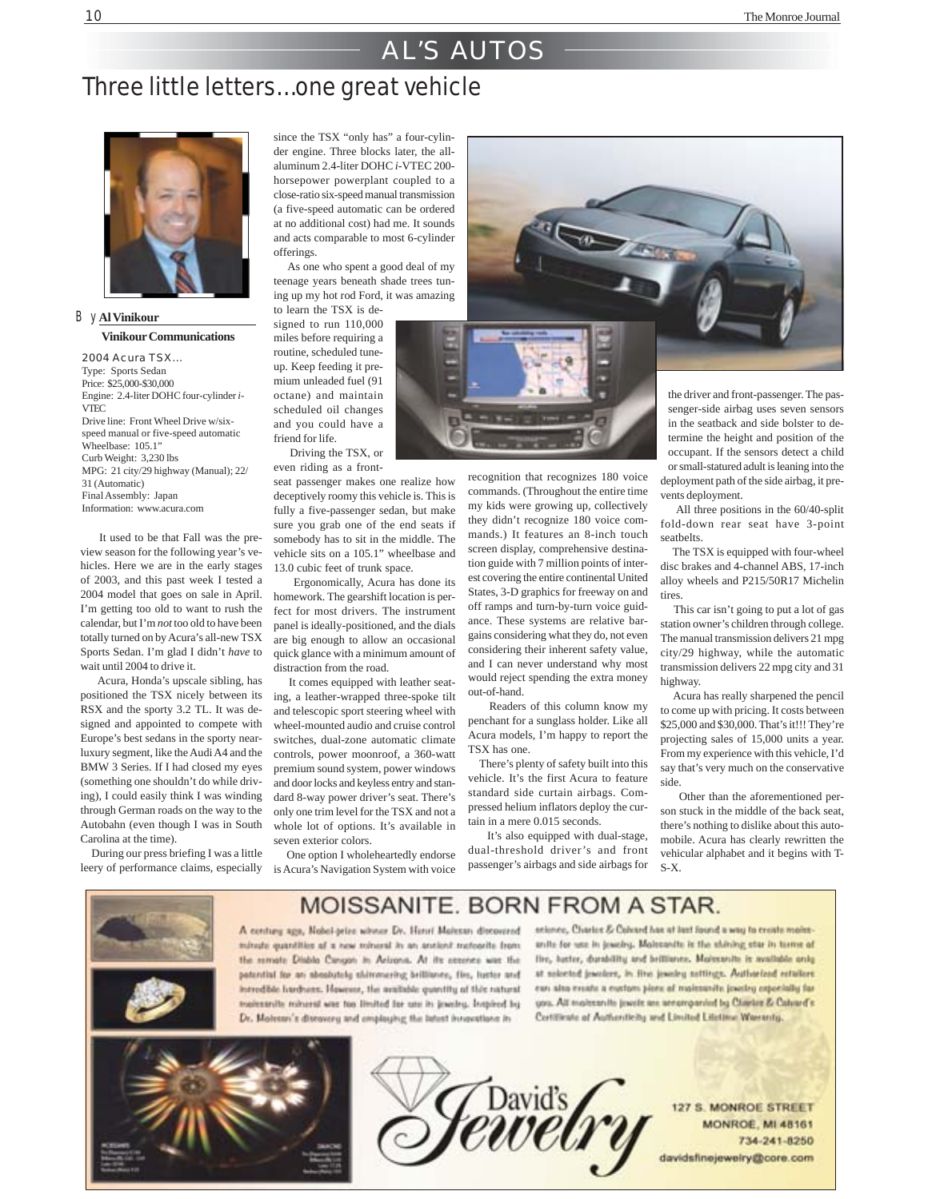### AL'S AUTOS

### Three little letters…one great vehicle



By **Al Vinikour Vinikour Communications**

2004 Acura TSX… Type: Sports Sedan Price: \$25,000-\$30,000 Engine: 2.4-liter DOHC four-cylinder *i*-VTEC Drive line: Front Wheel Drive w/sixspeed manual or five-speed automatic Wheelbase: 105.1" Curb Weight: 3,230 lbs MPG: 21 city/29 highway (Manual); 22/ 31 (Automatic) Final Assembly: Japan Information: www.acura.com

 It used to be that Fall was the preview season for the following year's vehicles. Here we are in the early stages of 2003, and this past week I tested a 2004 model that goes on sale in April. I'm getting too old to want to rush the calendar, but I'm *not* too old to have been totally turned on by Acura's all-new TSX Sports Sedan. I'm glad I didn't *have* to wait until 2004 to drive it.

 Acura, Honda's upscale sibling, has positioned the TSX nicely between its RSX and the sporty 3.2 TL. It was designed and appointed to compete with Europe's best sedans in the sporty nearluxury segment, like the Audi A4 and the BMW 3 Series. If I had closed my eyes (something one shouldn't do while driving), I could easily think I was winding through German roads on the way to the Autobahn (even though I was in South Carolina at the time).

 During our press briefing I was a little leery of performance claims, especially

since the TSX "only has" a four-cylinder engine. Three blocks later, the allaluminum 2.4-liter DOHC *i*-VTEC 200 horsepower powerplant coupled to a close-ratio six-speed manual transmission (a five-speed automatic can be ordered at no additional cost) had me. It sounds and acts comparable to most 6-cylinder offerings.

 As one who spent a good deal of my teenage years beneath shade trees tuning up my hot rod Ford, it was amazing to learn the TSX is de-

signed to run 110,000 miles before requiring a routine, scheduled tuneup. Keep feeding it premium unleaded fuel (91 octane) and maintain scheduled oil changes and you could have a friend for life. Driving the TSX, or

even riding as a front-

seat passenger makes one realize how deceptively roomy this vehicle is. This is fully a five-passenger sedan, but make sure you grab one of the end seats if somebody has to sit in the middle. The vehicle sits on a 105.1" wheelbase and 13.0 cubic feet of trunk space.

 Ergonomically, Acura has done its homework. The gearshift location is perfect for most drivers. The instrument panel is ideally-positioned, and the dials are big enough to allow an occasional quick glance with a minimum amount of distraction from the road.

 It comes equipped with leather seating, a leather-wrapped three-spoke tilt and telescopic sport steering wheel with wheel-mounted audio and cruise control switches, dual-zone automatic climate controls, power moonroof, a 360-watt premium sound system, power windows and door locks and keyless entry and standard 8-way power driver's seat. There's only one trim level for the TSX and not a whole lot of options. It's available in seven exterior colors.

 One option I wholeheartedly endorse is Acura's Navigation System with voice



recognition that recognizes 180 voice commands. (Throughout the entire time my kids were growing up, collectively they didn't recognize 180 voice commands.) It features an 8-inch touch screen display, comprehensive destination guide with 7 million points of interest covering the entire continental United States, 3-D graphics for freeway on and off ramps and turn-by-turn voice guidance. These systems are relative bargains considering what they do, not even considering their inherent safety value, and I can never understand why most would reject spending the extra money out-of-hand.

 Readers of this column know my penchant for a sunglass holder. Like all Acura models, I'm happy to report the TSX has one.

 There's plenty of safety built into this vehicle. It's the first Acura to feature standard side curtain airbags. Compressed helium inflators deploy the curtain in a mere 0.015 seconds.

 It's also equipped with dual-stage, dual-threshold driver's and front passenger's airbags and side airbags for

the driver and front-passenger. The passenger-side airbag uses seven sensors in the seatback and side bolster to determine the height and position of the occupant. If the sensors detect a child or small-statured adult is leaning into the deployment path of the side airbag, it prevents deployment.

 All three positions in the 60/40-split fold-down rear seat have 3-point seatbelts.

 The TSX is equipped with four-wheel disc brakes and 4-channel ABS, 17-inch alloy wheels and P215/50R17 Michelin tires.

 This car isn't going to put a lot of gas station owner's children through college. The manual transmission delivers 21 mpg city/29 highway, while the automatic transmission delivers 22 mpg city and 31 highway.

 Acura has really sharpened the pencil to come up with pricing. It costs between \$25,000 and \$30,000. That's it!!! They're projecting sales of 15,000 units a year. From my experience with this vehicle, I'd say that's very much on the conservative side.

 Other than the aforementioned person stuck in the middle of the back seat, there's nothing to dislike about this automobile. Acura has clearly rewritten the vehicular alphabet and it begins with T-S-X.



### MOISSANITE, BORN FROM A STAR.

A century ago, Nobel-prize where Dr. Henri Molecan discovered minute quantities of a new mineral in an ancient metoprite from the remate Diablo Cangon in Arizona. At its counce was the patential for an absolutely shimmering brilliance, fire, luster and introditio hardware. However, the available quantity of this natural explessnite mineral was too limited for use in jowchy. Impired by Dr. Molesse's diseavory and employing the latest innovations in

seisnes, Charles & Coloard has at last found a way to create moletanits for use in jewelry. Molecanity is the shining star in turns of five, haster, durability and brilliance. Moissanite is mailable anily at selected jewelers, in fine jewelry nettings. Authorized retailers can also create a custom piece of maissanite jowdry especially for you. All malessnith joyots are senampanied by Charles & Calvard's Continue of Authoritions and Limited Litetime Warranty.





**127 S. MONROE STREET MONROE, MI 48161** 734-241-8250 davidsfinejewelry@core.com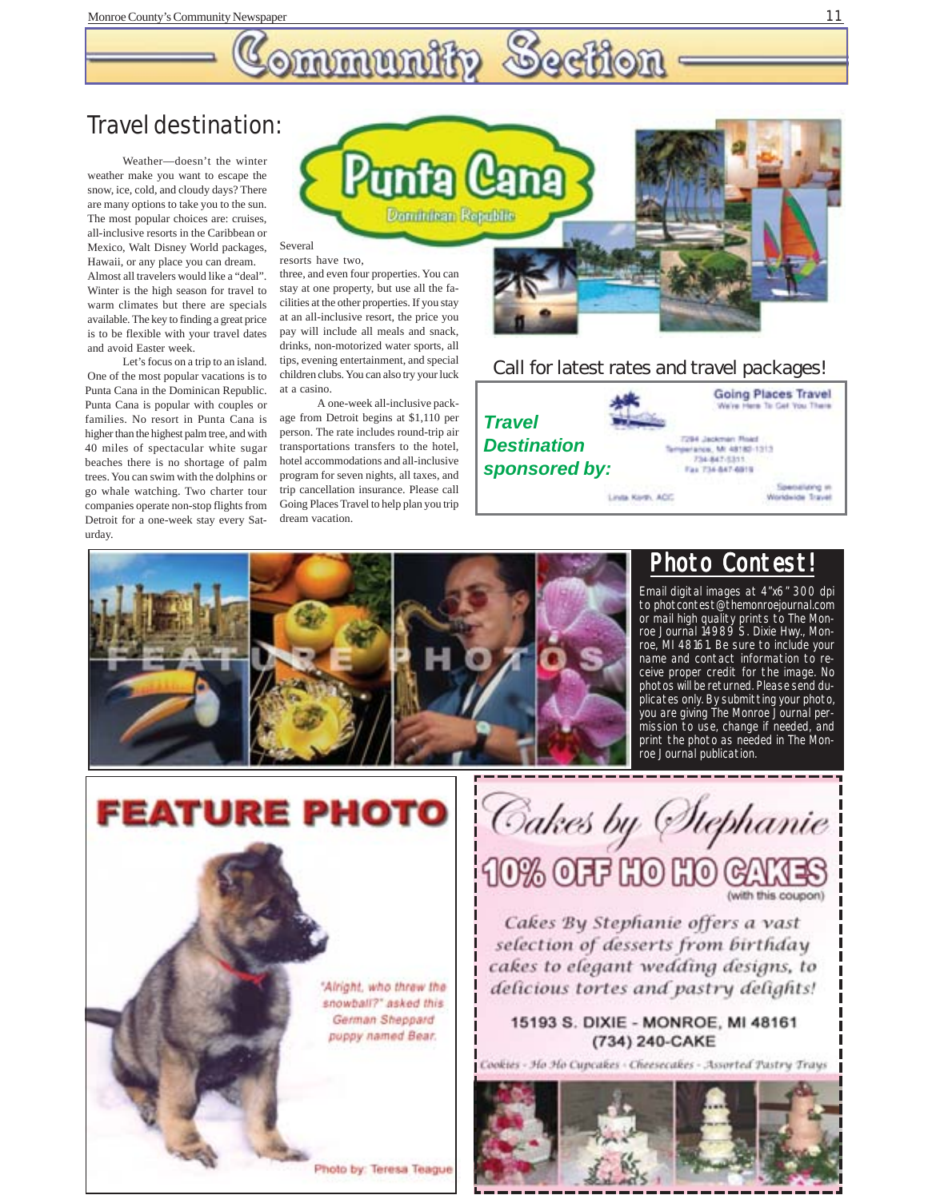# **Ommuniki**

### Travel destination:

Weather—doesn't the winter weather make you want to escape the snow, ice, cold, and cloudy days? There are many options to take you to the sun. The most popular choices are: cruises, all-inclusive resorts in the Caribbean or Mexico, Walt Disney World packages, Hawaii, or any place you can dream. Almost all travelers would like a "deal". Winter is the high season for travel to warm climates but there are specials available. The key to finding a great price is to be flexible with your travel dates and avoid Easter week.

Let's focus on a trip to an island. One of the most popular vacations is to Punta Cana in the Dominican Republic. Punta Cana is popular with couples or families. No resort in Punta Cana is higher than the highest palm tree, and with 40 miles of spectacular white sugar beaches there is no shortage of palm trees. You can swim with the dolphins or go whale watching. Two charter tour companies operate non-stop flights from Detroit for a one-week stay every Saturday.



#### resorts have two,

three, and even four properties. You can stay at one property, but use all the facilities at the other properties. If you stay at an all-inclusive resort, the price you pay will include all meals and snack, drinks, non-motorized water sports, all tips, evening entertainment, and special children clubs. You can also try your luck at a casino.

A one-week all-inclusive package from Detroit begins at \$1,110 per person. The rate includes round-trip air transportations transfers to the hotel, hotel accommodations and all-inclusive program for seven nights, all taxes, and trip cancellation insurance. Please call Going Places Travel to help plan you trip dream vacation.



#### *Call for latest rates and travel packages!*





### Photo Contest!

Email digital images at 4"x6" 300 dpi to photcontest@themonroejournal.com or mail high quality prints to The Monroe Journal 14989 S. Dixie Hwy., Monroe, MI 48161. Be sure to include your name and contact information to receive proper credit for the image. No photos will be returned. Please send duplicates only. By submitting your photo, you are giving The Monroe Journal permission to use, change if needed, and print the photo as needed in The Monroe Journal publication.



Cakes by Stephanie 10% OFF HO HO GAMES

Cakes By Stephanie offers a vast selection of desserts from birthday cakes to elegant wedding designs, to delicious tortes and pastry delights!

#### 15193 S. DIXIE - MONROE, MI 48161 (734) 240-CAKE

Cookies - Ho Ho Cupcakes - Cheesecakes - Assorted Pastry Trays

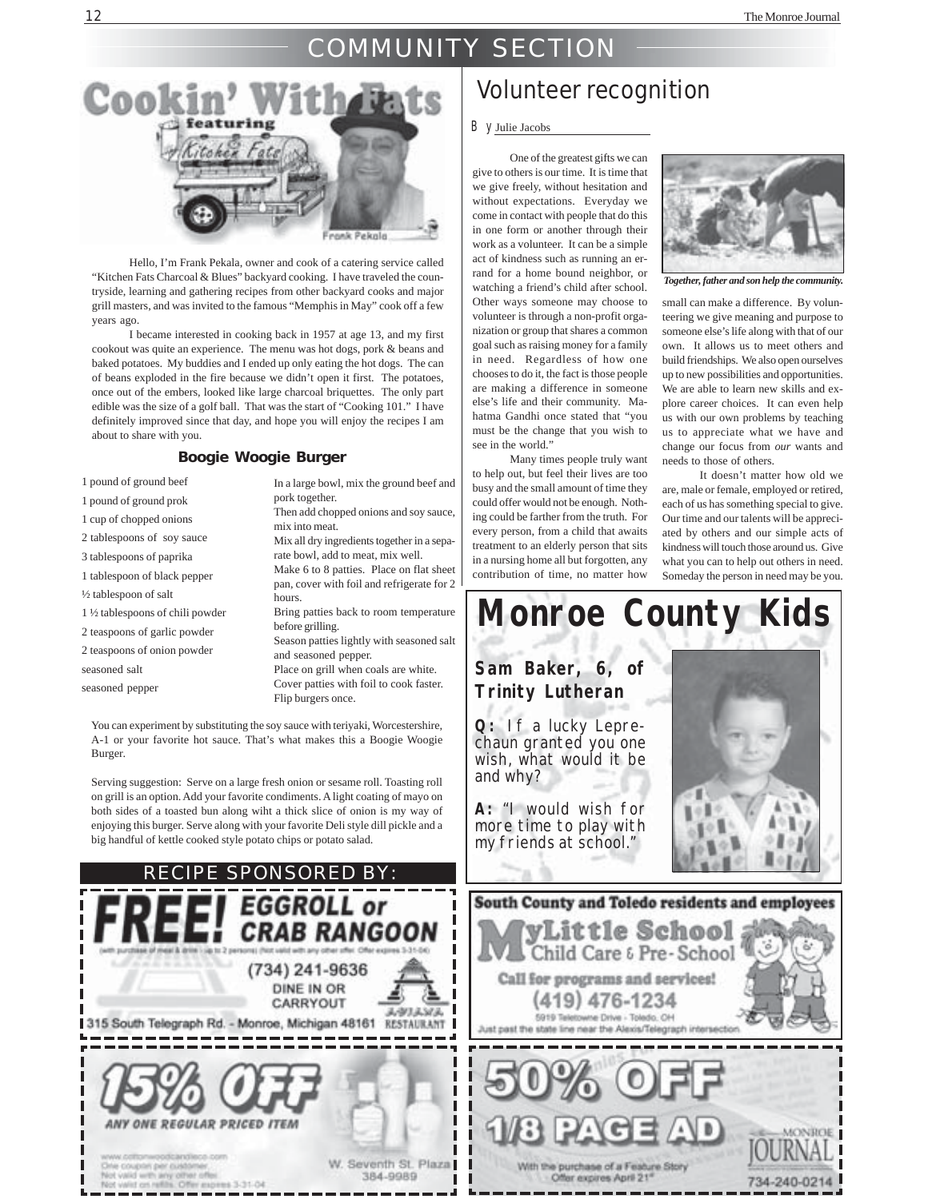#### 12 The Monroe Journal and the Monroe Journal and the Monroe Journal and the Monroe Journal and the Monroe Journal and the Monroe Journal and the Monroe Journal and the Monroe Journal and the Monroe Journal and the Monroe J

### COMMUNITY SECTION



Hello, I'm Frank Pekala, owner and cook of a catering service called "Kitchen Fats Charcoal & Blues" backyard cooking. I have traveled the countryside, learning and gathering recipes from other backyard cooks and major grill masters, and was invited to the famous "Memphis in May" cook off a few years ago.

I became interested in cooking back in 1957 at age 13, and my first cookout was quite an experience. The menu was hot dogs, pork & beans and baked potatoes. My buddies and I ended up only eating the hot dogs. The can of beans exploded in the fire because we didn't open it first. The potatoes, once out of the embers, looked like large charcoal briquettes. The only part edible was the size of a golf ball. That was the start of "Cooking 101." I have definitely improved since that day, and hope you will enjoy the recipes I am about to share with you.

#### **Boogie Woogie Burger**

| 1 pound of ground beef            | In a large bowl, mix the ground beef and                                                  |
|-----------------------------------|-------------------------------------------------------------------------------------------|
| 1 pound of ground prok            | pork together.                                                                            |
| 1 cup of chopped onions           | Then add chopped onions and soy sauce,<br>mix into meat.                                  |
| 2 tablespoons of soy sauce        | Mix all dry ingredients together in a sepa-                                               |
| 3 tablespoons of paprika          | rate bowl, add to meat, mix well.                                                         |
| 1 tablespoon of black pepper      | Make 6 to 8 patties. Place on flat sheet<br>pan, cover with foil and refrigerate for $21$ |
| 1/2 tablespoon of salt            | hours.                                                                                    |
| 1 1/2 tablespoons of chili powder | Bring patties back to room temperature                                                    |
| 2 teaspoons of garlic powder      | before grilling.                                                                          |
| 2 teaspoons of onion powder       | Season patties lightly with seasoned salt<br>and seasoned pepper.                         |
| seasoned salt                     | Place on grill when coals are white.                                                      |
| seasoned pepper                   | Cover patties with foil to cook faster.                                                   |
|                                   | Flip burgers once.                                                                        |

You can experiment by substituting the soy sauce with teriyaki, Worcestershire, A-1 or your favorite hot sauce. That's what makes this a Boogie Woogie Burger.

Serving suggestion: Serve on a large fresh onion or sesame roll. Toasting roll on grill is an option. Add your favorite condiments. A light coating of mayo on both sides of a toasted bun along wiht a thick slice of onion is my way of enjoying this burger. Serve along with your favorite Deli style dill pickle and a big handful of kettle cooked style potato chips or potato salad.



### Volunteer recognition

#### By Julie Jacobs

One of the greatest gifts we can give to others is our time. It is time that we give freely, without hesitation and without expectations. Everyday we come in contact with people that do this in one form or another through their work as a volunteer. It can be a simple act of kindness such as running an errand for a home bound neighbor, or watching a friend's child after school. Other ways someone may choose to volunteer is through a non-profit organization or group that shares a common goal such as raising money for a family in need. Regardless of how one chooses to do it, the fact is those people are making a difference in someone else's life and their community. Mahatma Gandhi once stated that "you must be the change that you wish to see in the world."

Many times people truly want to help out, but feel their lives are too busy and the small amount of time they could offer would not be enough. Nothing could be farther from the truth. For every person, from a child that awaits treatment to an elderly person that sits in a nursing home all but forgotten, any contribution of time, no matter how



*Together, father and son help the community.*

small can make a difference. By volunteering we give meaning and purpose to someone else's life along with that of our own. It allows us to meet others and build friendships. We also open ourselves up to new possibilities and opportunities. We are able to learn new skills and explore career choices. It can even help us with our own problems by teaching us to appreciate what we have and change our focus from *our* wants and needs to those of others.

It doesn't matter how old we are, male or female, employed or retired, each of us has something special to give. Our time and our talents will be appreciated by others and our simple acts of kindness will touch those around us. Give what you can to help out others in need. Someday the person in need may be you.

# **Monroe County Kids Sam Baker, 6, of**



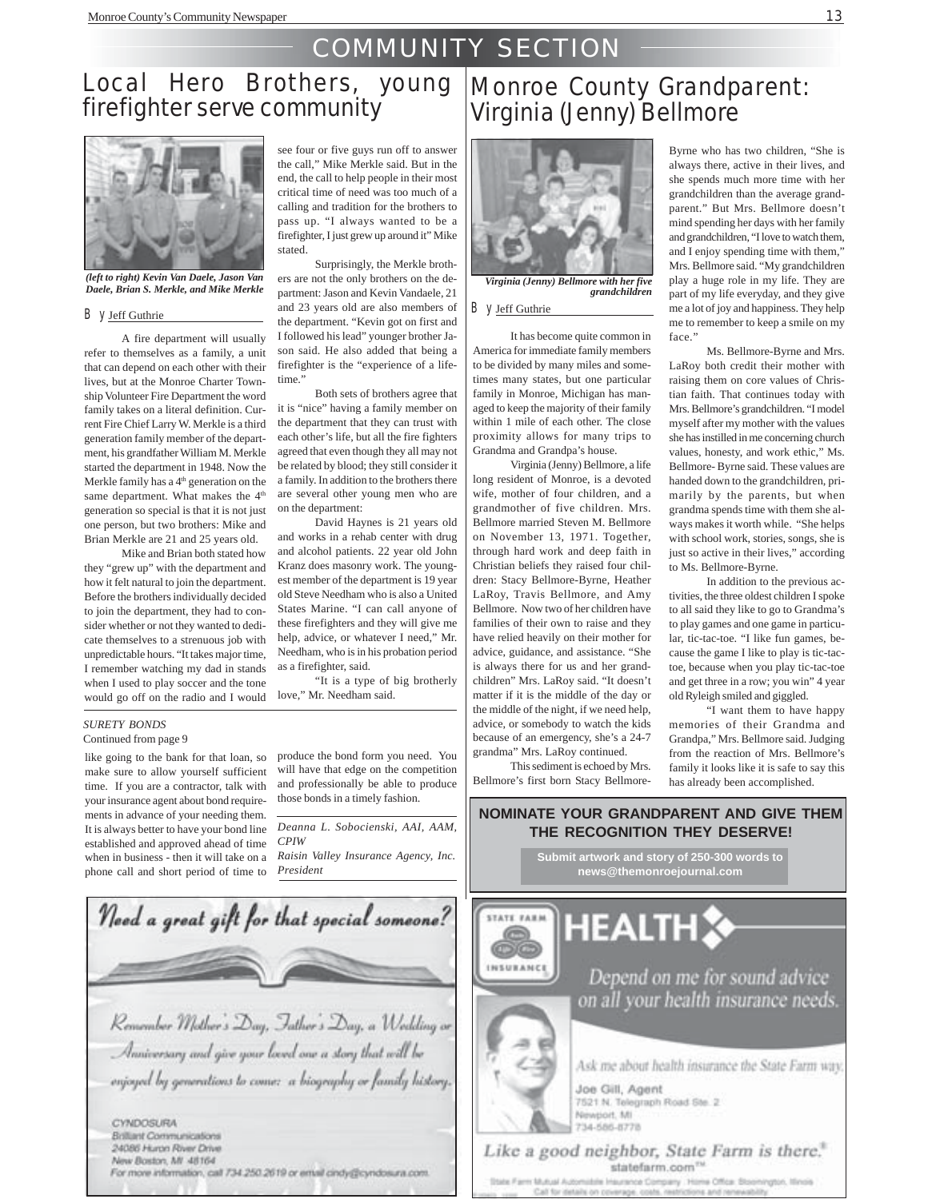## COMMUNITY SECTION

# Local Hero Brothers, young<br>firefighter serve community



*(left to right) Kevin Van Daele, Jason Van Daele, Brian S. Merkle, and Mike Merkle*

#### By Jeff Guthrie

A fire department will usually refer to themselves as a family, a unit that can depend on each other with their lives, but at the Monroe Charter Township Volunteer Fire Department the word family takes on a literal definition. Current Fire Chief Larry W. Merkle is a third generation family member of the department, his grandfather William M. Merkle started the department in 1948. Now the Merkle family has a 4<sup>th</sup> generation on the same department. What makes the 4<sup>th</sup> generation so special is that it is not just one person, but two brothers: Mike and Brian Merkle are 21 and 25 years old.

Mike and Brian both stated how they "grew up" with the department and how it felt natural to join the department. Before the brothers individually decided to join the department, they had to consider whether or not they wanted to dedicate themselves to a strenuous job with unpredictable hours. "It takes major time, I remember watching my dad in stands when I used to play soccer and the tone would go off on the radio and I would

#### see four or five guys run off to answer the call," Mike Merkle said. But in the end, the call to help people in their most critical time of need was too much of a calling and tradition for the brothers to pass up. "I always wanted to be a firefighter, I just grew up around it" Mike stated.

Surprisingly, the Merkle brothers are not the only brothers on the department: Jason and Kevin Vandaele, 21 and 23 years old are also members of the department. "Kevin got on first and I followed his lead" younger brother Jason said. He also added that being a firefighter is the "experience of a lifetime.'

Both sets of brothers agree that it is "nice" having a family member on the department that they can trust with each other's life, but all the fire fighters agreed that even though they all may not be related by blood; they still consider it a family. In addition to the brothers there are several other young men who are on the department:

David Haynes is 21 years old and works in a rehab center with drug and alcohol patients. 22 year old John Kranz does masonry work. The youngest member of the department is 19 year old Steve Needham who is also a United States Marine. "I can call anyone of these firefighters and they will give me help, advice, or whatever I need," Mr. Needham, who is in his probation period as a firefighter, said.

"It is a type of big brotherly love," Mr. Needham said.

### Monroe County Grandparent: Virginia (Jenny) Bellmore



*Virginia (Jenny) Bellmore with her five grandchildren*

By Jeff Guthrie

It has become quite common in America for immediate family members to be divided by many miles and sometimes many states, but one particular family in Monroe, Michigan has managed to keep the majority of their family within 1 mile of each other. The close proximity allows for many trips to Grandma and Grandpa's house.

Virginia (Jenny) Bellmore, a life long resident of Monroe, is a devoted wife, mother of four children, and a grandmother of five children. Mrs. Bellmore married Steven M. Bellmore on November 13, 1971. Together, through hard work and deep faith in Christian beliefs they raised four children: Stacy Bellmore-Byrne, Heather LaRoy, Travis Bellmore, and Amy Bellmore. Now two of her children have families of their own to raise and they have relied heavily on their mother for advice, guidance, and assistance. "She is always there for us and her grandchildren" Mrs. LaRoy said. "It doesn't matter if it is the middle of the day or the middle of the night, if we need help, advice, or somebody to watch the kids because of an emergency, she's a 24-7 grandma" Mrs. LaRoy continued.

This sediment is echoed by Mrs. Bellmore's first born Stacy Bellmore-

INSURANCE

Byrne who has two children, "She is always there, active in their lives, and she spends much more time with her grandchildren than the average grandparent." But Mrs. Bellmore doesn't mind spending her days with her family and grandchildren, "I love to watch them, and I enjoy spending time with them," Mrs. Bellmore said. "My grandchildren play a huge role in my life. They are part of my life everyday, and they give me a lot of joy and happiness. They help me to remember to keep a smile on my face."

Ms. Bellmore-Byrne and Mrs. LaRoy both credit their mother with raising them on core values of Christian faith. That continues today with Mrs. Bellmore's grandchildren. "I model myself after my mother with the values she has instilled in me concerning church values, honesty, and work ethic," Ms. Bellmore- Byrne said. These values are handed down to the grandchildren, primarily by the parents, but when grandma spends time with them she always makes it worth while. "She helps with school work, stories, songs, she is just so active in their lives," according to Ms. Bellmore-Byrne.

In addition to the previous activities, the three oldest children I spoke to all said they like to go to Grandma's to play games and one game in particular, tic-tac-toe. "I like fun games, because the game I like to play is tic-tactoe, because when you play tic-tac-toe and get three in a row; you win" 4 year old Ryleigh smiled and giggled.

"I want them to have happy memories of their Grandma and Grandpa," Mrs. Bellmore said. Judging from the reaction of Mrs. Bellmore's family it looks like it is safe to say this has already been accomplished.

#### *SURETY BONDS* Continued from page 9

like going to the bank for that loan, so make sure to allow yourself sufficient time. If you are a contractor, talk with your insurance agent about bond requirements in advance of your needing them. It is always better to have your bond line established and approved ahead of time when in business - then it will take on a phone call and short period of time to

produce the bond form you need. You will have that edge on the competition and professionally be able to produce those bonds in a timely fashion.

*Deanna L. Sobocienski, AAI, AAM, CPIW*

*Raisin Valley Insurance Agency, Inc. President*



### **NOMINATE YOUR GRANDPARENT AND GIVE THEM THE RECOGNITION THEY DESERVE!**

**Submit artwork and story of 250-300 words to news@themonroejournal.com**

**HEALTH** 

Depend on me for sound advice on all your health insurance needs.

Ask me about health insurance the State Farm way.

Joe Gill, Agent 7521 N. Telegraph Road Ste. 2 Newport, MI 734-585-8778

#### Like a good neighbor, State Farm is there." statefarm.com<sup>m</sup>

State Farm Mutual Automatele Insurance Company . Home Office: Stoomington, Ninols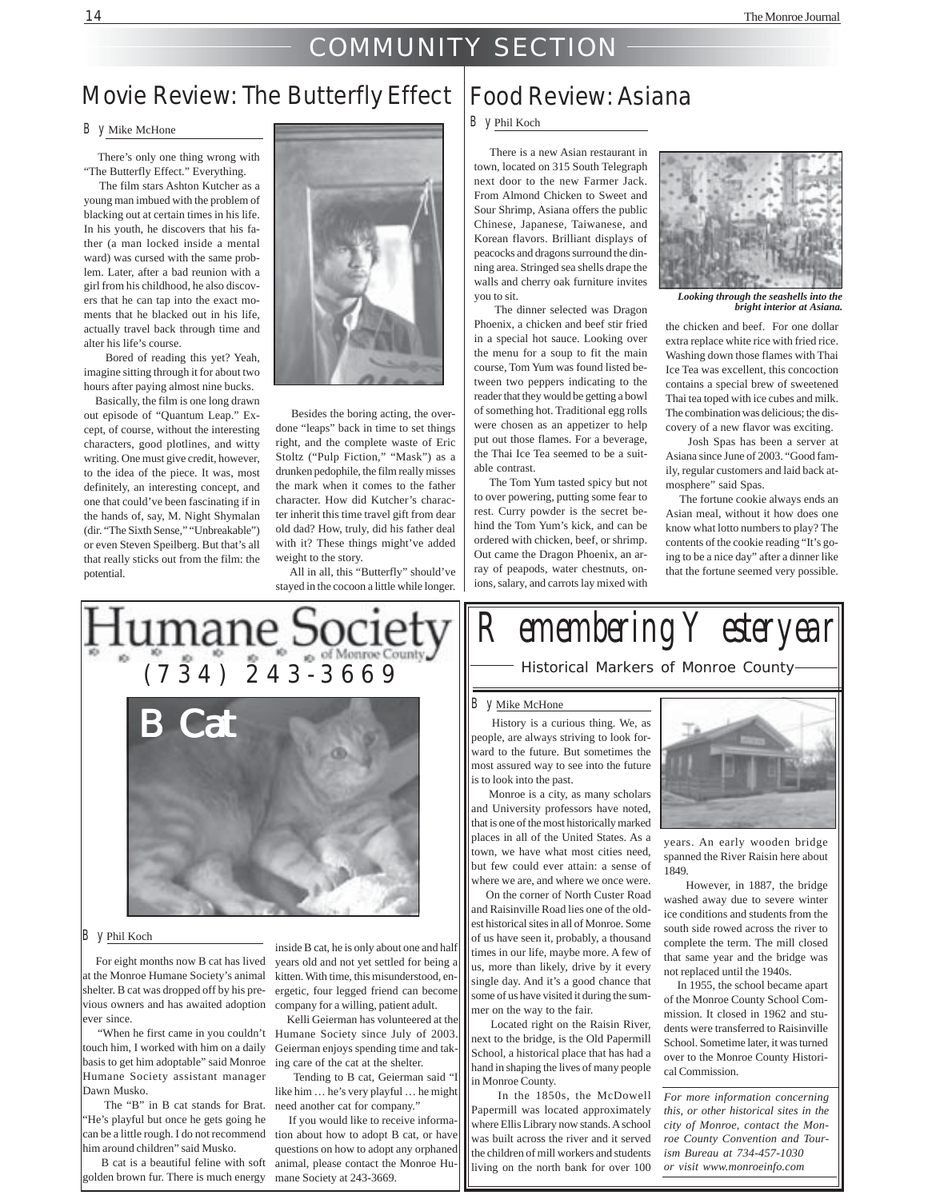### COMMUNITY SECTION

### Movie Review: The Butterfly Effect | Food Review: Asiana

#### By Mike McHone

 There's only one thing wrong with "The Butterfly Effect." Everything.

 The film stars Ashton Kutcher as a young man imbued with the problem of blacking out at certain times in his life. In his youth, he discovers that his father (a man locked inside a mental ward) was cursed with the same problem. Later, after a bad reunion with a girl from his childhood, he also discovers that he can tap into the exact moments that he blacked out in his life, actually travel back through time and alter his life's course.

 Bored of reading this yet? Yeah, imagine sitting through it for about two hours after paying almost nine bucks.

 Basically, the film is one long drawn out episode of "Quantum Leap." Except, of course, without the interesting characters, good plotlines, and witty writing. One must give credit, however, to the idea of the piece. It was, most definitely, an interesting concept, and one that could've been fascinating if in the hands of, say, M. Night Shymalan (dir. "The Sixth Sense," "Unbreakable") or even Steven Speilberg. But that's all that really sticks out from the film: the potential.



 Besides the boring acting, the overdone "leaps" back in time to set things right, and the complete waste of Eric Stoltz ("Pulp Fiction," "Mask") as a drunken pedophile, the film really misses the mark when it comes to the father character. How did Kutcher's character inherit this time travel gift from dear old dad? How, truly, did his father deal with it? These things might've added weight to the story.

 All in all, this "Butterfly" should've stayed in the cocoon a little while longer.



#### By Phil Koch

For eight months now B cat has lived at the Monroe Humane Society's animal shelter. B cat was dropped off by his previous owners and has awaited adoption company for a willing, patient adult. ever since.

touch him, I worked with him on a daily basis to get him adoptable" said Monroe Humane Society assistant manager Dawn Musko.

 The "B" in B cat stands for Brat. need another cat for company." "He's playful but once he gets going he can be a little rough. I do not recommend him around children" said Musko.

 B cat is a beautiful feline with soft golden brown fur. There is much energy mane Society at 243-3669.

inside B cat, he is only about one and half years old and not yet settled for being a kitten. With time, this misunderstood, energetic, four legged friend can become

"When he first came in you couldn't Humane Society since July of 2003. Kelli Geierman has volunteered at the Geierman enjoys spending time and taking care of the cat at the shelter.

 Tending to B cat, Geierman said "I like him … he's very playful … he might

 If you would like to receive information about how to adopt B cat, or have questions on how to adopt any orphaned animal, please contact the Monroe Hu-

#### By Phil Koch

 There is a new Asian restaurant in town, located on 315 South Telegraph next door to the new Farmer Jack. From Almond Chicken to Sweet and Sour Shrimp, Asiana offers the public Chinese, Japanese, Taiwanese, and Korean flavors. Brilliant displays of peacocks and dragons surround the dinning area. Stringed sea shells drape the walls and cherry oak furniture invites you to sit.

 The dinner selected was Dragon Phoenix, a chicken and beef stir fried in a special hot sauce. Looking over the menu for a soup to fit the main course, Tom Yum was found listed between two peppers indicating to the reader that they would be getting a bowl of something hot. Traditional egg rolls were chosen as an appetizer to help put out those flames. For a beverage, the Thai Ice Tea seemed to be a suitable contrast.

 The Tom Yum tasted spicy but not to over powering, putting some fear to rest. Curry powder is the secret behind the Tom Yum's kick, and can be ordered with chicken, beef, or shrimp. Out came the Dragon Phoenix, an array of peapods, water chestnuts, onions, salary, and carrots lay mixed with



*Looking through the seashells into the bright interior at Asiana.*

the chicken and beef. For one dollar extra replace white rice with fried rice. Washing down those flames with Thai Ice Tea was excellent, this concoction contains a special brew of sweetened Thai tea toped with ice cubes and milk. The combination was delicious; the discovery of a new flavor was exciting.

 Josh Spas has been a server at Asiana since June of 2003. "Good family, regular customers and laid back atmosphere" said Spas.

 The fortune cookie always ends an Asian meal, without it how does one know what lotto numbers to play? The contents of the cookie reading "It's going to be a nice day" after a dinner like that the fortune seemed very possible.

# R emembering  $\curlyvee$  esteryear

Historical Markers of Monroe County

#### B y Mike McHone

 History is a curious thing. We, as people, are always striving to look forward to the future. But sometimes the most assured way to see into the future is to look into the past.

 Monroe is a city, as many scholars and University professors have noted, that is one of the most historically marked places in all of the United States. As a town, we have what most cities need, but few could ever attain: a sense of where we are, and where we once were.

 On the corner of North Custer Road and Raisinville Road lies one of the oldest historical sites in all of Monroe. Some of us have seen it, probably, a thousand times in our life, maybe more. A few of us, more than likely, drive by it every single day. And it's a good chance that some of us have visited it during the summer on the way to the fair.

 Located right on the Raisin River, next to the bridge, is the Old Papermill School, a historical place that has had a hand in shaping the lives of many people in Monroe County.

 In the 1850s, the McDowell Papermill was located approximately where Ellis Library now stands. A school was built across the river and it served the children of mill workers and students living on the north bank for over 100



years. An early wooden bridge spanned the River Raisin here about 1849.

 However, in 1887, the bridge washed away due to severe winter ice conditions and students from the south side rowed across the river to complete the term. The mill closed that same year and the bridge was not replaced until the 1940s.

 In 1955, the school became apart of the Monroe County School Commission. It closed in 1962 and students were transferred to Raisinville School. Sometime later, it was turned over to the Monroe County Historical Commission.

*For more information concerning this, or other historical sites in the city of Monroe, contact the Monroe County Convention and Tourism Bureau at 734-457-1030 or visit www.monroeinfo.com*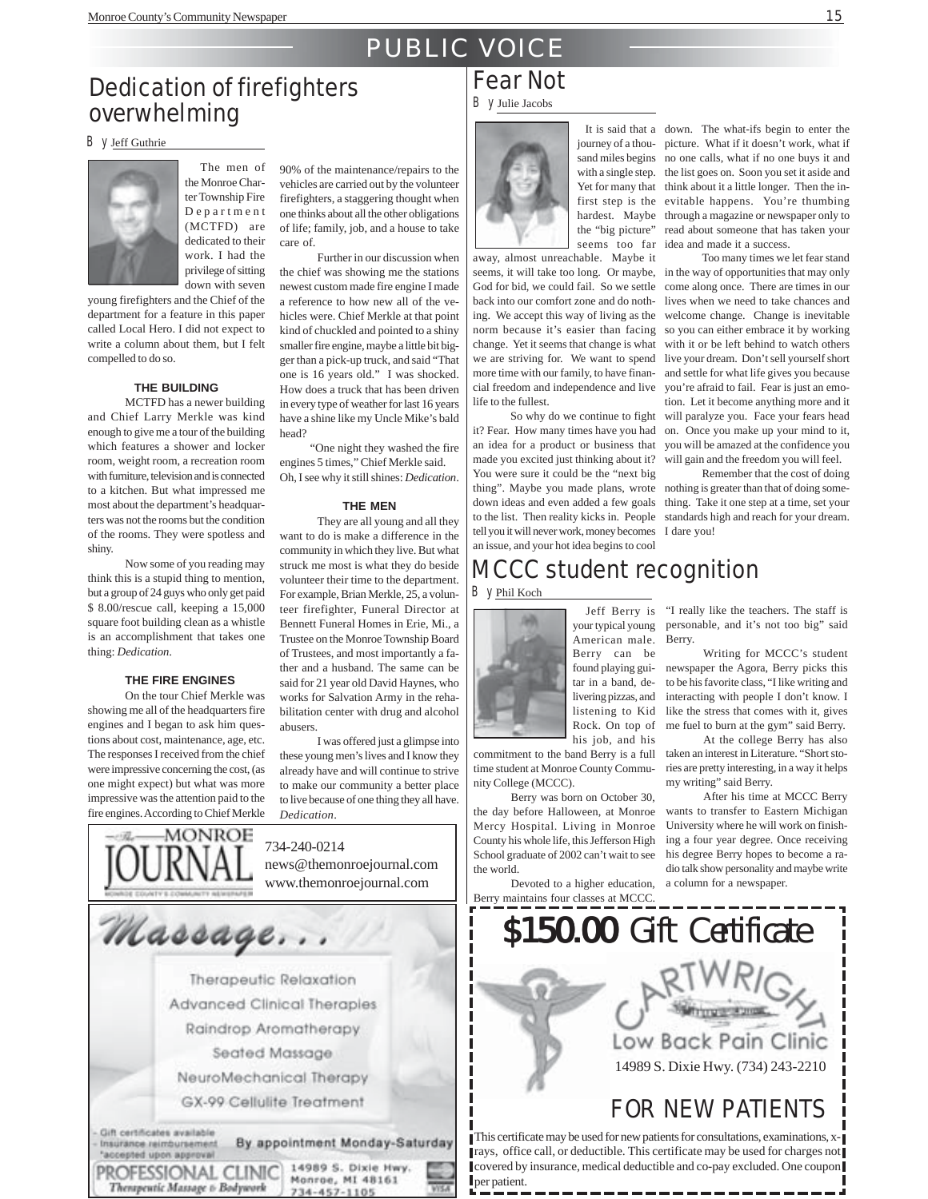### PUBLIC VOICE

### Dedication of firefighters overwhelming

By Jeff Guthrie



The men of the Monroe Charter Township Fire Department (MCTFD) are dedicated to their work. I had the privilege of sitting down with seven

young firefighters and the Chief of the department for a feature in this paper called Local Hero. I did not expect to write a column about them, but I felt compelled to do so.

#### **THE BUILDING**

MCTFD has a newer building and Chief Larry Merkle was kind enough to give me a tour of the building which features a shower and locker room, weight room, a recreation room with furniture, television and is connected to a kitchen. But what impressed me most about the department's headquarters was not the rooms but the condition of the rooms. They were spotless and shiny.

Now some of you reading may think this is a stupid thing to mention, but a group of 24 guys who only get paid \$ 8.00/rescue call, keeping a 15,000 square foot building clean as a whistle is an accomplishment that takes one thing: *Dedication*.

#### **THE FIRE ENGINES**

On the tour Chief Merkle was showing me all of the headquarters fire engines and I began to ask him questions about cost, maintenance, age, etc. The responses I received from the chief were impressive concerning the cost, (as one might expect) but what was more impressive was the attention paid to the fire engines. According to Chief Merkle

MONROE

Therapeutic Massage t- Bodywork

90% of the maintenance/repairs to the vehicles are carried out by the volunteer firefighters, a staggering thought when one thinks about all the other obligations of life; family, job, and a house to take care of.

Further in our discussion when the chief was showing me the stations newest custom made fire engine I made a reference to how new all of the vehicles were. Chief Merkle at that point kind of chuckled and pointed to a shiny smaller fire engine, maybe a little bit bigger than a pick-up truck, and said "That one is 16 years old." I was shocked. How does a truck that has been driven in every type of weather for last 16 years have a shine like my Uncle Mike's bald head?

 "One night they washed the fire engines 5 times," Chief Merkle said.

Oh, I see why it still shines: *Dedication*.

#### **THE MEN**

They are all young and all they want to do is make a difference in the community in which they live. But what struck me most is what they do beside volunteer their time to the department. For example, Brian Merkle, 25, a volunteer firefighter, Funeral Director at Bennett Funeral Homes in Erie, Mi., a Trustee on the Monroe Township Board of Trustees, and most importantly a father and a husband. The same can be said for 21 year old David Haynes, who works for Salvation Army in the rehabilitation center with drug and alcohol abusers.

I was offered just a glimpse into these young men's lives and I know they already have and will continue to strive to make our community a better place to live because of one thing they all have. *Dedication*.

734-240-0214 news@themonroejournal.com www.themonroejournal.com

734-457-1105



By Julie Jacobs Fear Not



away, almost unreachable. Maybe it God for bid, we could fail. So we settle back into our comfort zone and do nothing. We accept this way of living as the norm because it's easier than facing change. Yet it seems that change is what we are striving for. We want to spend cial freedom and independence and live life to the fullest.

So why do we continue to fight it? Fear. How many times have you had an idea for a product or business that you will be amazed at the confidence you made you excited just thinking about it? You were sure it could be the "next big thing". Maybe you made plans, wrote down ideas and even added a few goals to the list. Then reality kicks in. People standards high and reach for your dream. tell you it will never work, money becomes I dare you! an issue, and your hot idea begins to cool

It is said that a down. The what-ifs begin to enter the journey of a thou-picture. What if it doesn't work, what if sand miles begins no one calls, what if no one buys it and with a single step. the list goes on. Soon you set it aside and Yet for many that think about it a little longer. Then the infirst step is the evitable happens. You're thumbing hardest. Maybe through a magazine or newspaper only to the "big picture" read about someone that has taken your seems too far idea and made it a success.

seems, it will take too long. Or maybe, in the way of opportunities that may only more time with our family, to have finan-and settle for what life gives you because Too many times we let fear stand come along once. There are times in our lives when we need to take chances and welcome change. Change is inevitable so you can either embrace it by working with it or be left behind to watch others live your dream. Don't sell yourself short you're afraid to fail. Fear is just an emotion. Let it become anything more and it will paralyze you. Face your fears head on. Once you make up your mind to it, will gain and the freedom you will feel.

> Remember that the cost of doing nothing is greater than that of doing something. Take it one step at a time, set your

### MCCC student recognition By Phil Koch



your typical young American male. Berry can be found playing guitar in a band, delivering pizzas, and listening to Kid Rock. On top of his job, and his

time student at Monroe County Community College (MCCC).

Berry was born on October 30, the day before Halloween, at Monroe Mercy Hospital. Living in Monroe County his whole life, this Jefferson High School graduate of 2002 can't wait to see the world.

Devoted to a higher education, Berry maintains four classes at MCCC.

Jeff Berry is "I really like the teachers. The staff is personable, and it's not too big" said Berry.

> Writing for MCCC's student newspaper the Agora, Berry picks this to be his favorite class, "I like writing and interacting with people I don't know. I like the stress that comes with it, gives me fuel to burn at the gym" said Berry.

commitment to the band Berry is a full taken an interest in Literature. "Short sto-At the college Berry has also ries are pretty interesting, in a way it helps my writing" said Berry.

After his time at MCCC Berry wants to transfer to Eastern Michigan University where he will work on finishing a four year degree. Once receiving his degree Berry hopes to become a radio talk show personality and maybe write a column for a newspaper.



This certificate may be used for new patients for consultations, examinations, xrays, office call, or deductible. This certificate may be used for charges not covered by insurance, medical deductible and co-pay excluded. One coupon per patient.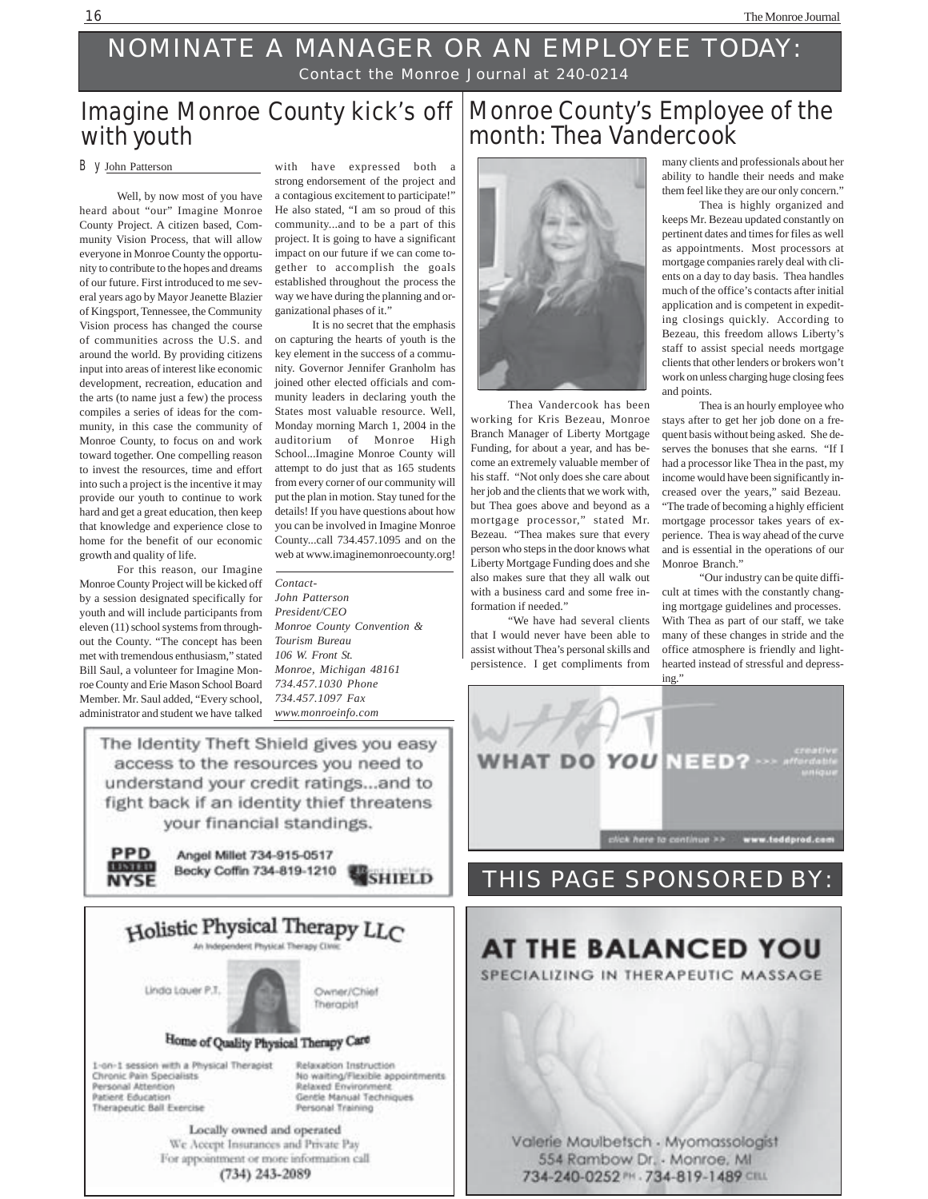### NOMINATE A MANAGER OR AN EMPLOYEE TODAY: Contact the Monroe Journal at 240-0214

### Imagine Monroe County kick's off with youth

#### By John Patterson

Well, by now most of you have heard about "our" Imagine Monroe County Project. A citizen based, Community Vision Process, that will allow everyone in Monroe County the opportunity to contribute to the hopes and dreams of our future. First introduced to me several years ago by Mayor Jeanette Blazier of Kingsport, Tennessee, the Community Vision process has changed the course of communities across the U.S. and around the world. By providing citizens input into areas of interest like economic development, recreation, education and the arts (to name just a few) the process compiles a series of ideas for the community, in this case the community of Monroe County, to focus on and work toward together. One compelling reason to invest the resources, time and effort into such a project is the incentive it may provide our youth to continue to work hard and get a great education, then keep that knowledge and experience close to home for the benefit of our economic growth and quality of life.

For this reason, our Imagine Monroe County Project will be kicked off by a session designated specifically for youth and will include participants from eleven (11) school systems from throughout the County. "The concept has been met with tremendous enthusiasm," stated Bill Saul, a volunteer for Imagine Monroe County and Erie Mason School Board Member. Mr. Saul added, "Every school, administrator and student we have talked

with have expressed both a strong endorsement of the project and a contagious excitement to participate!" He also stated, "I am so proud of this community...and to be a part of this project. It is going to have a significant impact on our future if we can come together to accomplish the goals established throughout the process the way we have during the planning and organizational phases of it."

It is no secret that the emphasis on capturing the hearts of youth is the key element in the success of a community. Governor Jennifer Granholm has joined other elected officials and community leaders in declaring youth the States most valuable resource. Well, Monday morning March 1, 2004 in the auditorium of Monroe High School...Imagine Monroe County will attempt to do just that as 165 students from every corner of our community will put the plan in motion. Stay tuned for the details! If you have questions about how you can be involved in Imagine Monroe County...call 734.457.1095 and on the web at www.imaginemonroecounty.org!

*Contact-John Patterson President/CEO Monroe County Convention & Tourism Bureau 106 W. Front St. Monroe, Michigan 48161 734.457.1030 Phone 734.457.1097 Fax www.monroeinfo.com*

The Identity Theft Shield gives you easy access to the resources you need to understand your credit ratings...and to fight back if an identity thief threatens your financial standings.

**PPD** Angel Millet 734-915-0517 Becky Coffin 734-819-1210 SHIELD **NYSE** 



Locally owned and operated We Accept Insurances and Private Pay For appointment or more information call (734) 243-2089

### Monroe County's Employee of the month: Thea Vandercook



Thea Vandercook has been working for Kris Bezeau, Monroe Branch Manager of Liberty Mortgage Funding, for about a year, and has become an extremely valuable member of his staff. "Not only does she care about her job and the clients that we work with, but Thea goes above and beyond as a mortgage processor," stated Mr. Bezeau. "Thea makes sure that every person who steps in the door knows what Liberty Mortgage Funding does and she also makes sure that they all walk out with a business card and some free information if needed."

 "We have had several clients that I would never have been able to assist without Thea's personal skills and persistence. I get compliments from many clients and professionals about her ability to handle their needs and make them feel like they are our only concern."

 Thea is highly organized and keeps Mr. Bezeau updated constantly on pertinent dates and times for files as well as appointments. Most processors at mortgage companies rarely deal with clients on a day to day basis. Thea handles much of the office's contacts after initial application and is competent in expediting closings quickly. According to Bezeau, this freedom allows Liberty's staff to assist special needs mortgage clients that other lenders or brokers won't work on unless charging huge closing fees and points.

Thea is an hourly employee who stays after to get her job done on a frequent basis without being asked. She deserves the bonuses that she earns. "If I had a processor like Thea in the past, my income would have been significantly increased over the years," said Bezeau. "The trade of becoming a highly efficient mortgage processor takes years of experience. Thea is way ahead of the curve and is essential in the operations of our Monroe Branch."

"Our industry can be quite difficult at times with the constantly changing mortgage guidelines and processes. With Thea as part of our staff, we take many of these changes in stride and the office atmosphere is friendly and lighthearted instead of stressful and depressing."



### THIS PAGE SPONSORED BY:

### **AT THE BALANCED YOU** SPECIALIZING IN THERAPEUTIC MASSAGE

Valerie Maulbetsch - Myomassologist 554 Rambow Dr. - Monroe, MI 734-240-0252 PH . 734-819-1489 CILL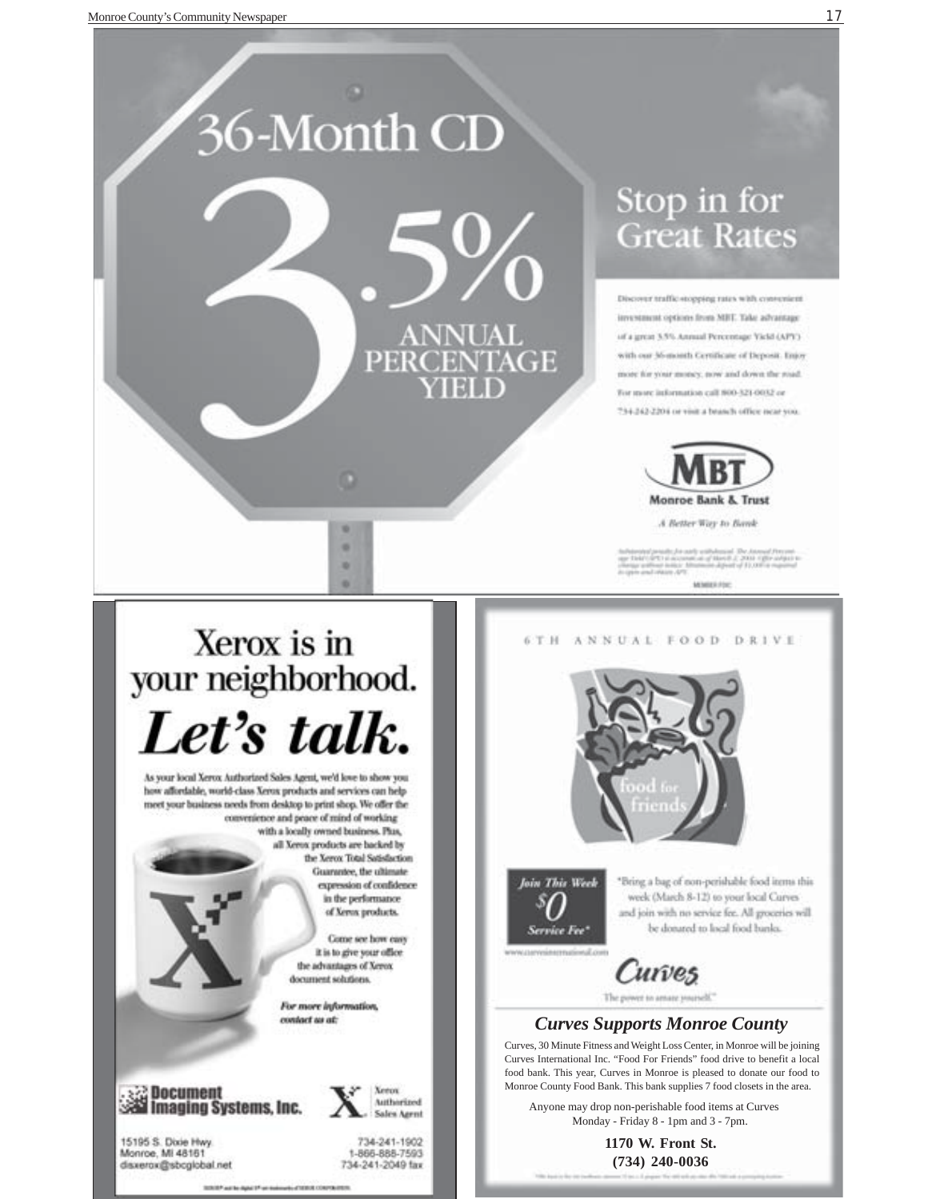

# 36-Month CD **ANNUAL PERCENTAGE** ۰ ۰ ۰

# Stop in for **Great Rates**

Discover traffic-stopping rates with convenient investment options from MEE. Take advantage of a great 5.5% Annual Percentage Vickl (APY) with our 36-month Certificate of Deposit. Enjoy more for your money, now and down the road. For more information call 800-321-0032 or 734-242-2204 or visit a branch office near you.



A Better Way to Bank

MONTER FOR

# Xerox is in your neighborhood. Let's talk.

As your local Xerox Authorized Sales Agent, we'd love to show you how affordable, world-class Xerox products and services can help meet your business needs from desktop to print shop. We offer the convenience and peace of mind of working with a locally owned business. Plus,

all Xerox products are backed by the Xerox Total Satisfaction Guarantee, the ultimate expression of confidence in the performance of Xerox products.

> Come see how easy it is to give your office the advantages of Xerox document solutions.

For more information, contact us at:

**eg Document<br>All Imaging Systems, Inc.** 

**Keron Mitherized Sales Agent** 

15195 S. Dixie Hwy Monroe, Mi 48161 disxerox@sbcglobal.net

734-241-1902 1-866-888-7593 734-241-2049 fax







"Bring a bag of non-perishable food items this week (March 8-12) to your local Curves and join with no service fee. All groceries will be donated to local food banks.

Curves The power to amaze yourself."

#### *Curves Supports Monroe County*

Curves, 30 Minute Fitness and Weight Loss Center, in Monroe will be joining Curves International Inc. "Food For Friends" food drive to benefit a local food bank. This year, Curves in Monroe is pleased to donate our food to Monroe County Food Bank. This bank supplies 7 food closets in the area.

Anyone may drop non-perishable food items at Curves Monday - Friday 8 - 1pm and 3 - 7pm.

> **1170 W. Front St. (734) 240-0036**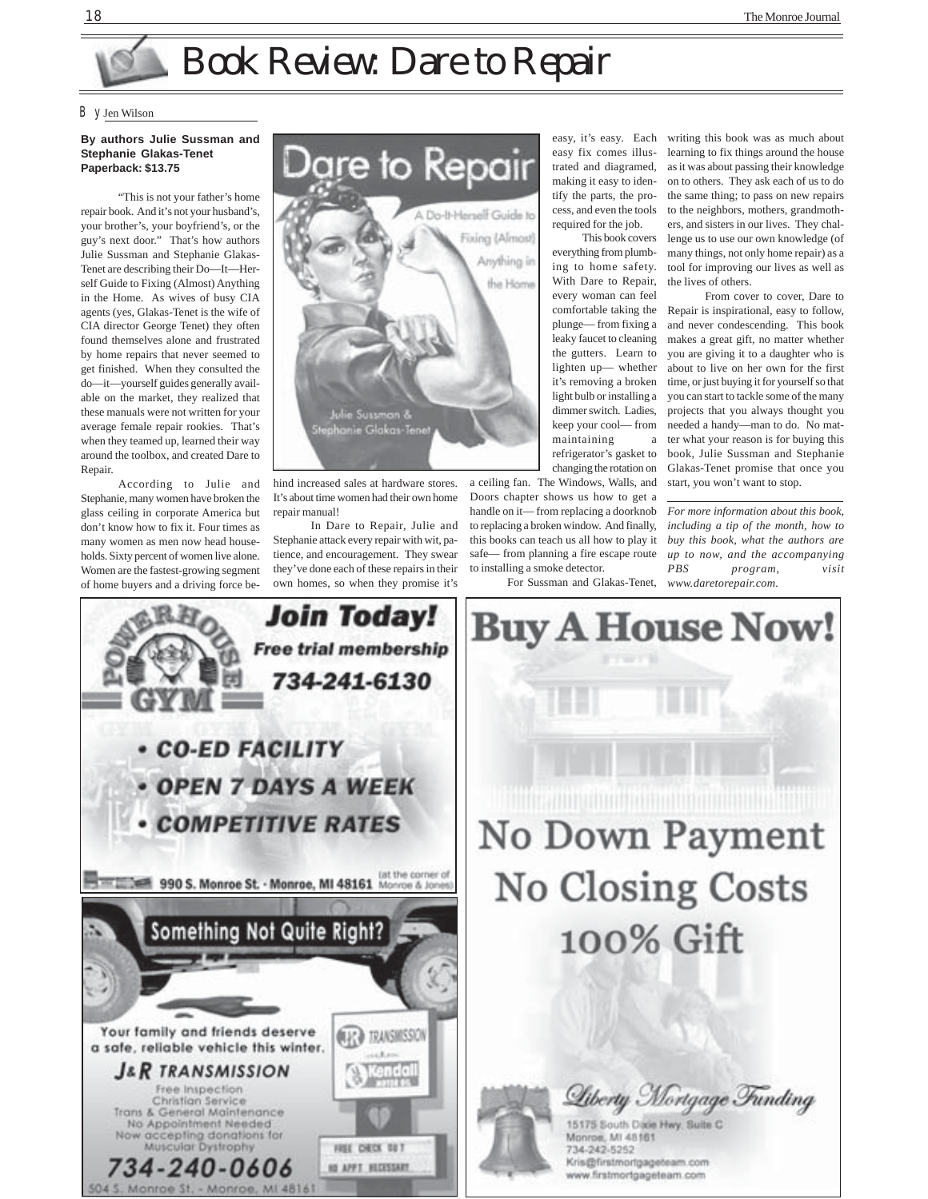# Book Review: Dare to Repair

#### By Jen Wilson

#### **By authors Julie Sussman and Stephanie Glakas-Tenet Paperback: \$13.75**

"This is not your father's home repair book. And it's not your husband's, your brother's, your boyfriend's, or the guy's next door." That's how authors Julie Sussman and Stephanie Glakas-Tenet are describing their Do—It—Herself Guide to Fixing (Almost) Anything in the Home. As wives of busy CIA agents (yes, Glakas-Tenet is the wife of CIA director George Tenet) they often found themselves alone and frustrated by home repairs that never seemed to get finished. When they consulted the do—it—yourself guides generally available on the market, they realized that these manuals were not written for your average female repair rookies. That's when they teamed up, learned their way around the toolbox, and created Dare to Repair.

According to Julie and Stephanie, many women have broken the glass ceiling in corporate America but don't know how to fix it. Four times as many women as men now head households. Sixty percent of women live alone. Women are the fastest-growing segment of home buyers and a driving force be-



hind increased sales at hardware stores. It's about time women had their own home repair manual!

In Dare to Repair, Julie and Stephanie attack every repair with wit, patience, and encouragement. They swear they've done each of these repairs in their own homes, so when they promise it's

easy, it's easy. Each easy fix comes illustrated and diagramed, making it easy to identify the parts, the process, and even the tools required for the job.

This book covers everything from plumbing to home safety. With Dare to Repair, every woman can feel comfortable taking the plunge— from fixing a leaky faucet to cleaning the gutters. Learn to lighten up— whether it's removing a broken light bulb or installing a dimmer switch. Ladies, keep your cool— from maintaining a refrigerator's gasket to changing the rotation on

a ceiling fan. The Windows, Walls, and Doors chapter shows us how to get a handle on it— from replacing a doorknob to replacing a broken window. And finally, this books can teach us all how to play it safe— from planning a fire escape route to installing a smoke detector.

For Sussman and Glakas-Tenet,

writing this book was as much about learning to fix things around the house as it was about passing their knowledge on to others. They ask each of us to do the same thing; to pass on new repairs to the neighbors, mothers, grandmothers, and sisters in our lives. They challenge us to use our own knowledge (of many things, not only home repair) as a tool for improving our lives as well as the lives of others.

From cover to cover, Dare to Repair is inspirational, easy to follow, and never condescending. This book makes a great gift, no matter whether you are giving it to a daughter who is about to live on her own for the first time, or just buying it for yourself so that you can start to tackle some of the many projects that you always thought you needed a handy—man to do. No matter what your reason is for buying this book, Julie Sussman and Stephanie Glakas-Tenet promise that once you start, you won't want to stop.

*For more information about this book, including a tip of the month, how to buy this book, what the authors are up to now, and the accompanying PBS program, visit www.daretorepair.com.*





Monroe, MI 48161 734-242-5252 Kris@firstmortgageteam.com www.firstmortgageteam.com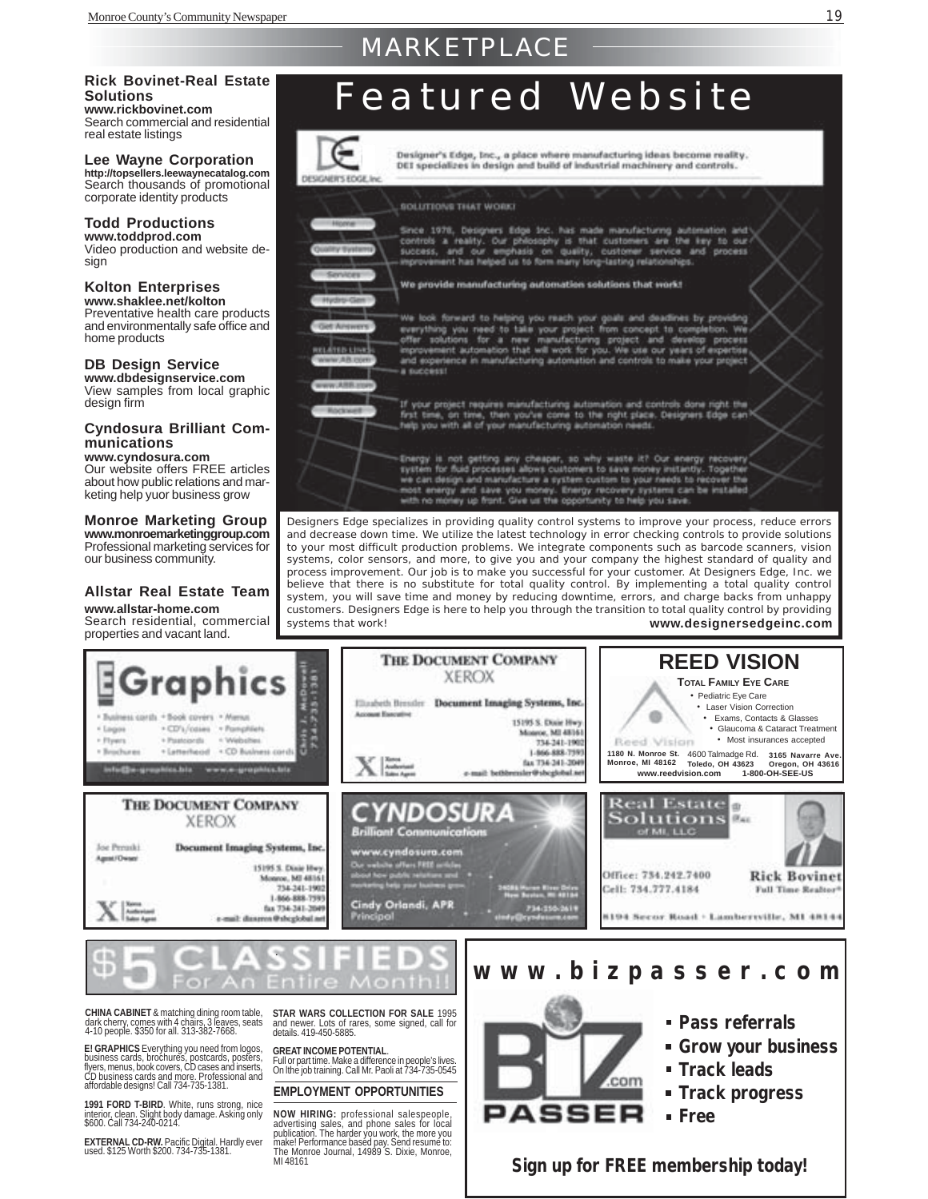### MARKETPLACE

#### **Solutions www.rickbovinet.com**

Search commercial and residential real estate listings

**Lee Wayne Corporation**

**http://topsellers.leewaynecatalog.com** Search thousands of promotional corporate identity products

#### **Todd Productions**

**www.toddprod.com** Video production and website design

#### **Kolton Enterprises**

**www.shaklee.net/kolton** Preventative health care products and environmentally safe office and home products

**DB Design Service www.dbdesignservice.com** View samples from local graphic design firm

#### **Cyndosura Brilliant Communications**

**www.cyndosura.com** Our website offers FREE articles about how public relations and marketing help yuor business grow

#### **Monroe Marketing Group www.monroemarketinggroup.com**

Professional marketing services for our business community.

#### **Allstar Real Estate Team www.allstar-home.com**

Search residential, commercial properties and vacant land.

**1991 FORD T-BIRD**. White, runs strong, nice<br>interior, clean. Slight body damage. Asking only<br>\$600. Call 734-240-0214.

**EXTERNAL CD-RW.** Pacific Digital. Hardly ever used. \$125 Worth \$200. 734-735-1381.

# Rick Bovinet-Real Estate<br>Solutions<br>www.rickbovinet.com **Feature Real** Feature **Med** Site



Designer's Edge, Inc., a place where manufacturing ideas become reality. DEI specializes in design and build of industrial machinery and controls.

SOLUTIONS THAT WORK

Since 1978, Designers Edge 1nc. has made manufacturing automation and<br>controls a reality. Our philosophy is that customers are the key to our-<br>success, and our emphasis on quality, customer service and process<br>improvement

#### We provide manufacturing automation solutions that work!



We look forward to helping you reach your goals and deadlines by providing me soon ranked to take your project from concept to completion. We<br>elight tourism for a new manufacturing project and develop process<br>improvement automation that will work for you. We use our years of expertise<br>and experie



If your project requires manufacturing automation and controls done right the<br>first time, on time, then you've come to the right place. Designers Edge can<br>help you with all of your manufacturing automation needs.

Energy is not getting any cheaper, so why waste it? Our energy recovery<br>system for fluid processes allows customers to save money initiarity. Together<br>we can design and manufacture a system custom to your needs to recover with no money up front. Give us the opportunity to help you save.

Designers Edge specializes in providing quality control systems to improve your process, reduce errors and decrease down time. We utilize the latest technology in error checking controls to provide solutions to your most difficult production problems. We integrate components such as barcode scanners, vision systems, color sensors, and more, to give you and your company the highest standard of quality and process improvement. Our job is to make you successful for your customer. At Designers Edge, Inc. we believe that there is no substitute for total quality control. By implementing a total quality control system, you will save time and money by reducing downtime, errors, and charge backs from unhappy customers. Designers Edge is here to help you through the transition to total quality control by providing systems that work! **www.designersedgeinc.com**



**EMPLOYMENT OPPORTUNITIES**

**NOW HIRING:** professional salespeople,<br>advertising sales, and phone sales for local<br>publication. The harder you work, the more you<br>makel Performance based pay, Send resume to:<br>The Monroe Journal, 14989 S. Dixie, Monroe, MI 48161



- **Track progress**
- **Free**

**Sign up for FREE membership today!**